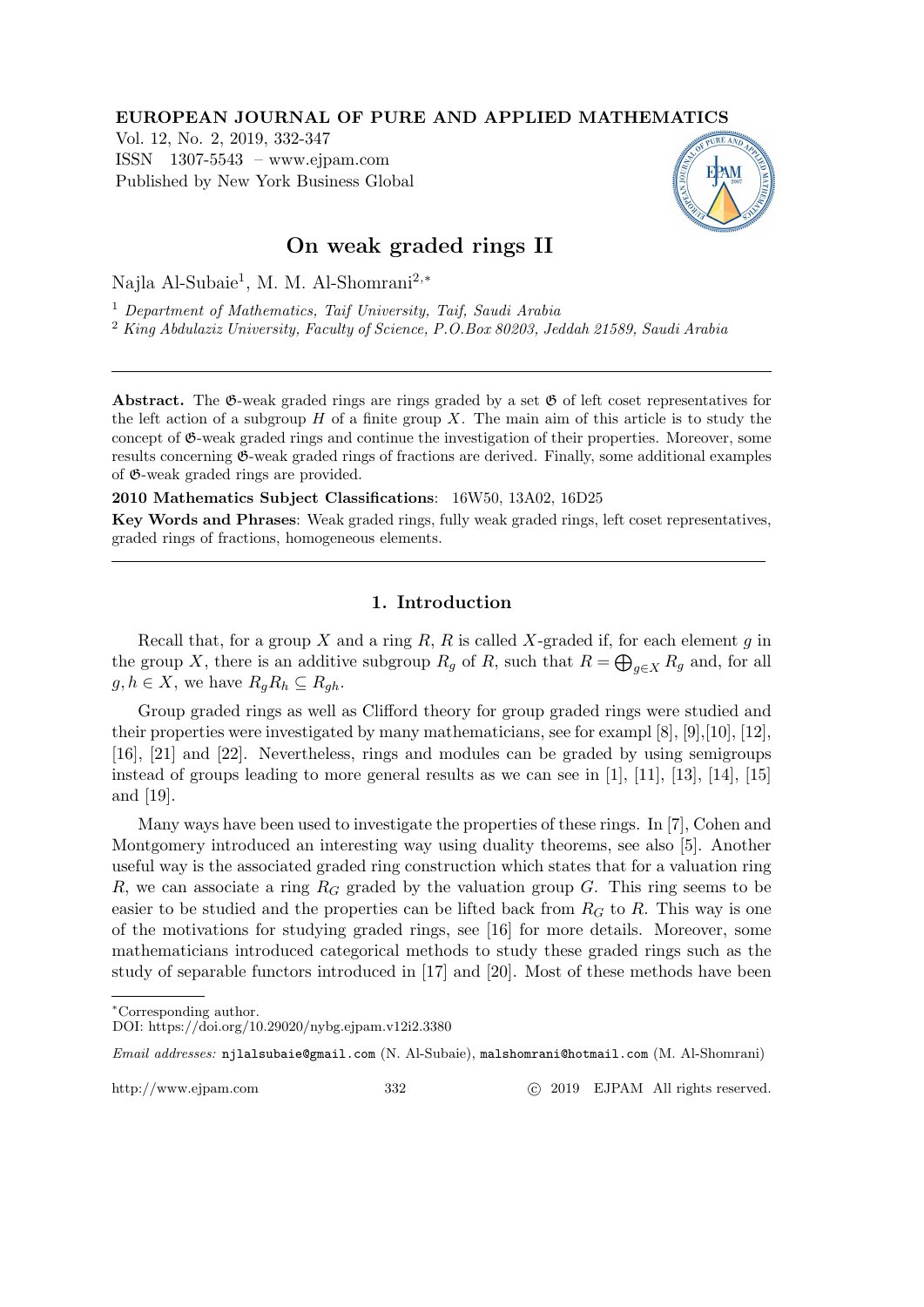#### EUROPEAN JOURNAL OF PURE AND APPLIED MATHEMATICS

Vol. 12, No. 2, 2019, 332-347 ISSN 1307-5543 – www.ejpam.com Published by New York Business Global



## On weak graded rings II

Najla Al-Subaie<sup>1</sup> , M. M. Al-Shomrani2,<sup>∗</sup>

<sup>1</sup> Department of Mathematics, Taif University, Taif, Saudi Arabia

<sup>2</sup> King Abdulaziz University, Faculty of Science, P.O.Box 80203, Jeddah 21589, Saudi Arabia

Abstract. The  $\mathfrak{G}\text{-weak graded rings are rings graded by a set } \mathfrak{G}$  of left coset representatives for the left action of a subgroup  $H$  of a finite group  $X$ . The main aim of this article is to study the concept of G-weak graded rings and continue the investigation of their properties. Moreover, some results concerning G-weak graded rings of fractions are derived. Finally, some additional examples of G-weak graded rings are provided.

2010 Mathematics Subject Classifications: 16W50, 13A02, 16D25

Key Words and Phrases: Weak graded rings, fully weak graded rings, left coset representatives, graded rings of fractions, homogeneous elements.

### 1. Introduction

Recall that, for a group X and a ring  $R$ ,  $R$  is called X-graded if, for each element  $g$  in the group X, there is an additive subgroup  $R_g$  of R, such that  $R = \bigoplus_{g \in X} R_g$  and, for all  $g, h \in X$ , we have  $R_g R_h \subseteq R_{gh}$ .

Group graded rings as well as Clifford theory for group graded rings were studied and their properties were investigated by many mathematicians, see for exampl [8], [9],[10], [12], [16], [21] and [22]. Nevertheless, rings and modules can be graded by using semigroups instead of groups leading to more general results as we can see in [1], [11], [13], [14], [15] and [19].

Many ways have been used to investigate the properties of these rings. In [7], Cohen and Montgomery introduced an interesting way using duality theorems, see also [5]. Another useful way is the associated graded ring construction which states that for a valuation ring R, we can associate a ring  $R_G$  graded by the valuation group G. This ring seems to be easier to be studied and the properties can be lifted back from  $R_G$  to R. This way is one of the motivations for studying graded rings, see [16] for more details. Moreover, some mathematicians introduced categorical methods to study these graded rings such as the study of separable functors introduced in [17] and [20]. Most of these methods have been

http://www.ejpam.com 332 c 2019 EJPAM All rights reserved.

<sup>∗</sup>Corresponding author.

DOI: https://doi.org/10.29020/nybg.ejpam.v12i2.3380

Email addresses: njlalsubaie@gmail.com (N. Al-Subaie), malshomrani@hotmail.com (M. Al-Shomrani)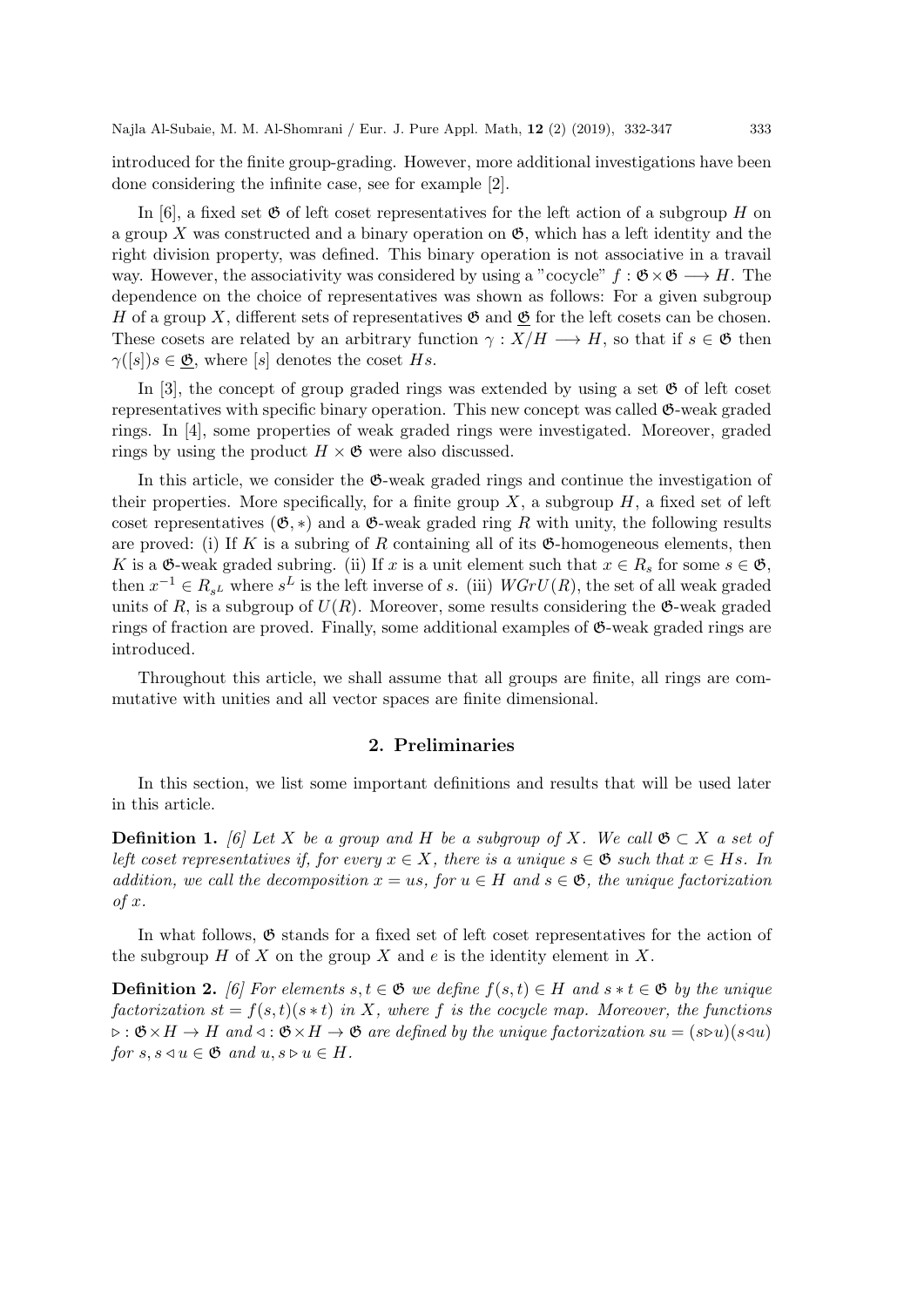introduced for the finite group-grading. However, more additional investigations have been done considering the infinite case, see for example [2].

In [6], a fixed set  $\mathfrak G$  of left coset representatives for the left action of a subgroup H on a group X was constructed and a binary operation on  $\mathfrak{G}$ , which has a left identity and the right division property, was defined. This binary operation is not associative in a travail way. However, the associativity was considered by using a "cocycle"  $f : \mathfrak{G} \times \mathfrak{G} \longrightarrow H$ . The dependence on the choice of representatives was shown as follows: For a given subgroup H of a group X, different sets of representatives  $\mathfrak{G}$  and  $\mathfrak{G}$  for the left cosets can be chosen. These cosets are related by an arbitrary function  $\gamma : X/H \longrightarrow H$ , so that if  $s \in \mathfrak{G}$  then  $\gamma([s])s \in \mathfrak{G}$ , where [s] denotes the coset Hs.

In [3], the concept of group graded rings was extended by using a set  $\mathfrak{G}$  of left coset representatives with specific binary operation. This new concept was called  $\mathfrak{G}\text{-weak graded}$ rings. In [4], some properties of weak graded rings were investigated. Moreover, graded rings by using the product  $H \times \mathfrak{G}$  were also discussed.

In this article, we consider the G-weak graded rings and continue the investigation of their properties. More specifically, for a finite group  $X$ , a subgroup  $H$ , a fixed set of left coset representatives ( $\mathfrak{G}, *$ ) and a  $\mathfrak{G}-$ weak graded ring R with unity, the following results are proved: (i) If K is a subring of R containing all of its  $\mathfrak{G}$ -homogeneous elements, then K is a  $\mathfrak{G}\text{-weak graded subring.}$  (ii) If x is a unit element such that  $x \in R_s$  for some  $s \in \mathfrak{G}$ , then  $x^{-1} \in R_{s^L}$  where  $s^L$  is the left inverse of s. (iii)  $WGrU(R)$ , the set of all weak graded units of R, is a subgroup of  $U(R)$ . Moreover, some results considering the  $\mathfrak{G}\text{-weak graded}$ rings of fraction are proved. Finally, some additional examples of G-weak graded rings are introduced.

Throughout this article, we shall assume that all groups are finite, all rings are commutative with unities and all vector spaces are finite dimensional.

#### 2. Preliminaries

In this section, we list some important definitions and results that will be used later in this article.

**Definition 1.** [6] Let X be a group and H be a subgroup of X. We call  $\mathfrak{G} \subset X$  a set of left coset representatives if, for every  $x \in X$ , there is a unique  $s \in \mathfrak{G}$  such that  $x \in Hs$ . In addition, we call the decomposition  $x = us$ , for  $u \in H$  and  $s \in \mathfrak{G}$ , the unique factorization of x.

In what follows,  $\mathfrak G$  stands for a fixed set of left coset representatives for the action of the subgroup H of X on the group X and e is the identity element in X.

**Definition 2.** [6] For elements  $s, t \in \mathfrak{G}$  we define  $f(s,t) \in H$  and  $s * t \in \mathfrak{G}$  by the unique factorization  $st = f(s, t)(s * t)$  in X, where f is the cocycle map. Moreover, the functions  $\triangleright : \mathfrak{G} \times H \to H$  and  $\triangleleft : \mathfrak{G} \times H \to \mathfrak{G}$  are defined by the unique factorization  $su = (s \triangleright u)(s \triangleleft u)$ for  $s, s \triangleleft u \in \mathfrak{G}$  and  $u, s \triangleright u \in H$ .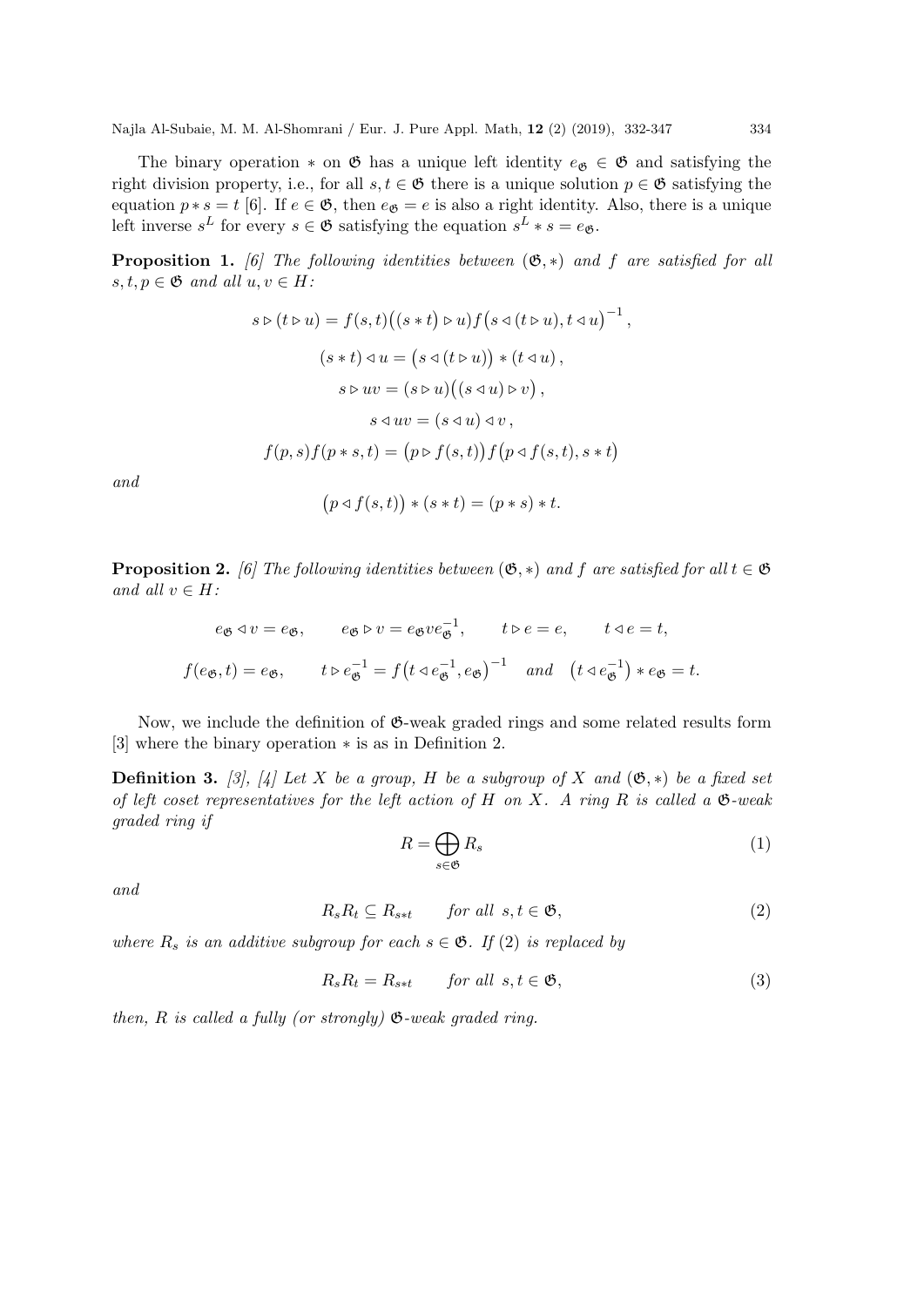The binary operation  $*$  on  $\mathfrak G$  has a unique left identity  $e_{\mathfrak G} \in \mathfrak G$  and satisfying the right division property, i.e., for all  $s, t \in \mathfrak{G}$  there is a unique solution  $p \in \mathfrak{G}$  satisfying the equation  $p * s = t$  [6]. If  $e \in \mathfrak{G}$ , then  $e_{\mathfrak{G}} = e$  is also a right identity. Also, there is a unique left inverse  $s^L$  for every  $s \in \mathfrak{G}$  satisfying the equation  $s^L * s = e_{\mathfrak{G}}$ .

**Proposition 1.** [6] The following identities between  $(\mathfrak{G}, *)$  and f are satisfied for all  $s, t, p \in \mathfrak{G}$  and all  $u, v \in H$ :

$$
s \triangleright (t \triangleright u) = f(s, t) ((s * t) \triangleright u) f (s \triangleleft (t \triangleright u), t \triangleleft u)^{-1},
$$
  
\n
$$
(s * t) \triangleleft u = (s \triangleleft (t \triangleright u)) * (t \triangleleft u),
$$
  
\n
$$
s \triangleright uv = (s \triangleright u) ((s \triangleleft u) \triangleright v),
$$
  
\n
$$
s \triangleleft uv = (s \triangleleft u) \triangleleft v,
$$
  
\n
$$
f(p, s) f (p * s, t) = (p \triangleright f(s, t)) f (p \triangleleft f(s, t), s * t)
$$

and

$$
(p \triangleleft f(s, t)) * (s * t) = (p * s) * t.
$$

**Proposition 2.** [6] The following identities between  $(\mathfrak{G}, *)$  and f are satisfied for all  $t \in \mathfrak{G}$ and all  $v \in H$ :

$$
e_{\mathfrak{G}} \triangleleft v = e_{\mathfrak{G}}, \qquad e_{\mathfrak{G}} \triangleright v = e_{\mathfrak{G}} v e_{\mathfrak{G}}^{-1}, \qquad t \triangleright e = e, \qquad t \triangleleft e = t,
$$
  

$$
f(e_{\mathfrak{G}}, t) = e_{\mathfrak{G}}, \qquad t \triangleright e_{\mathfrak{G}}^{-1} = f(t \triangleleft e_{\mathfrak{G}}^{-1}, e_{\mathfrak{G}})^{-1} \quad and \quad (t \triangleleft e_{\mathfrak{G}}^{-1}) * e_{\mathfrak{G}} = t.
$$

Now, we include the definition of  $\mathfrak{G}\text{-weak graded rings}$  and some related results form [3] where the binary operation ∗ is as in Definition 2.

**Definition 3.** [3], [4] Let X be a group, H be a subgroup of X and  $(\mathfrak{G},*)$  be a fixed set of left coset representatives for the left action of H on X. A ring R is called a  $\mathfrak{G}\text{-weak}$ graded ring if

$$
R = \bigoplus_{s \in \mathfrak{G}} R_s \tag{1}
$$

and

$$
R_s R_t \subseteq R_{s*t} \qquad \text{for all } s, t \in \mathfrak{G}, \tag{2}
$$

where  $R_s$  is an additive subgroup for each  $s \in \mathfrak{G}$ . If (2) is replaced by

$$
R_s R_t = R_{s*t} \qquad \text{for all } s, t \in \mathfrak{G}, \tag{3}
$$

then,  $R$  is called a fully (or strongly)  $\mathfrak{G}\text{-weak graded ring.}$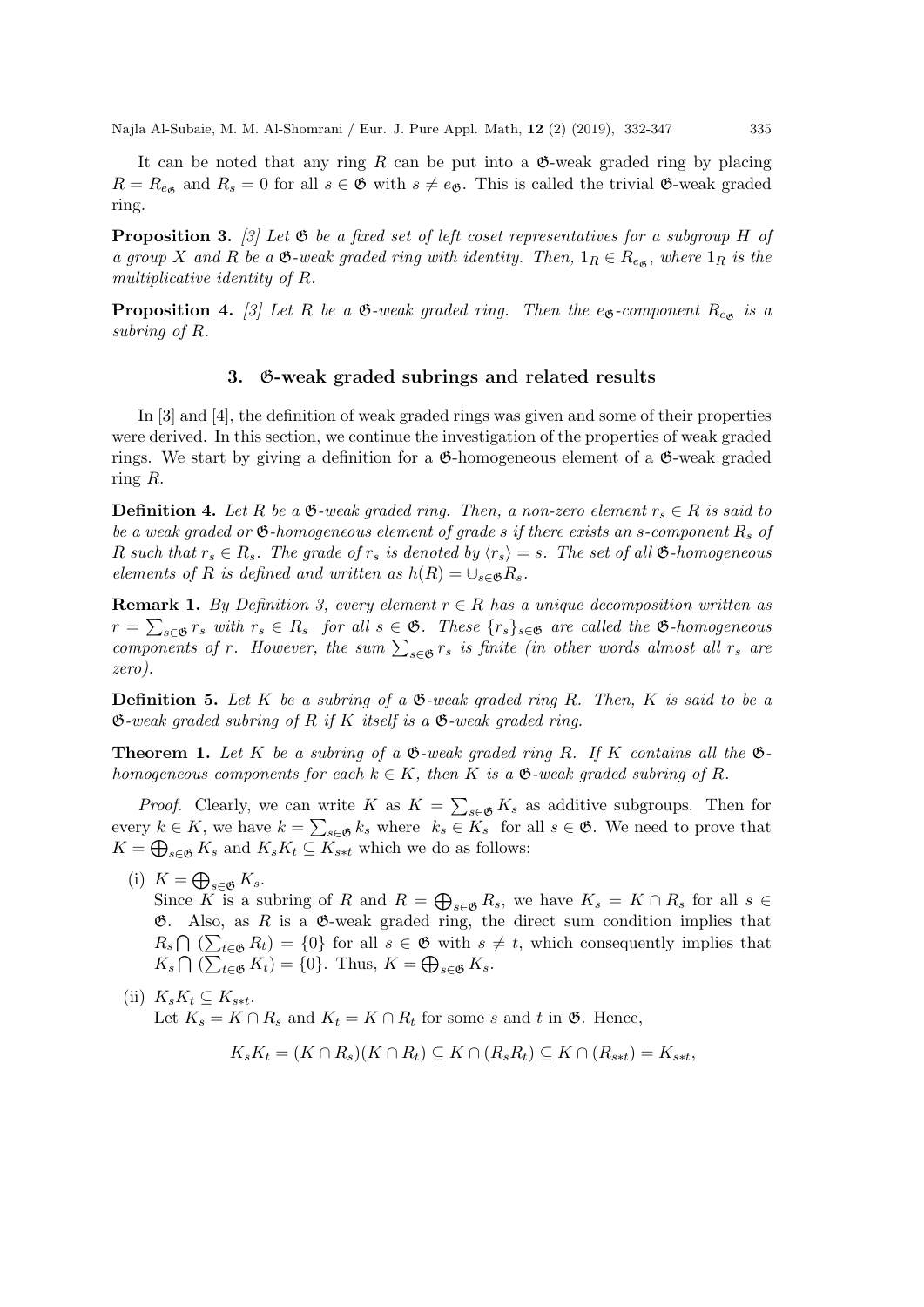It can be noted that any ring R can be put into a  $\mathfrak{G}\text{-weak graded ring by placing}$  $R = R_{e_{\mathfrak{G}}}$  and  $R_s = 0$  for all  $s \in \mathfrak{G}$  with  $s \neq e_{\mathfrak{G}}$ . This is called the trivial  $\mathfrak{G}\text{-weak graded}$ ring.

**Proposition 3.** [3] Let  $\mathfrak{G}$  be a fixed set of left coset representatives for a subgroup H of a group X and R be a  $\mathfrak{G}\text{-weak graded ring with identity. Then, }1_R \in R_{e_{\mathfrak{G}}},$  where  $1_R$  is the multiplicative identity of R.

**Proposition 4.** [3] Let R be a  $\mathfrak{G}\text{-weak graded ring.}$  Then the e<sub> $\mathfrak{G}\text{-component }R_{e_{\mathfrak{G}}}$  is a</sub> subring of R.

#### 3. G-weak graded subrings and related results

In [3] and [4], the definition of weak graded rings was given and some of their properties were derived. In this section, we continue the investigation of the properties of weak graded rings. We start by giving a definition for a  $\mathfrak{G}$ -homogeneous element of a  $\mathfrak{G}$ -weak graded ring R.

**Definition 4.** Let R be a  $\mathfrak{G}\text{-weak graded ring. Then, a non-zero element }r_s \in R$  is said to be a weak graded or  $\mathfrak{G}$ -homogeneous element of grade s if there exists an s-component  $R_s$  of R such that  $r_s \in R_s$ . The grade of  $r_s$  is denoted by  $\langle r_s \rangle = s$ . The set of all  $\mathfrak{G}$ -homogeneous elements of R is defined and written as  $h(R) = \bigcup_{s \in \mathfrak{G}} R_s$ .

**Remark 1.** By Definition 3, every element  $r \in R$  has a unique decomposition written as  $r = \sum_{s \in \mathfrak{G}} r_s$  with  $r_s \in R_s$  for all  $s \in \mathfrak{G}$ . These  $\{r_s\}_{s \in \mathfrak{G}}$  are called the  $\mathfrak{G}$ -homogeneous components of r. However, the sum  $\sum_{s \in \mathfrak{G}} r_s$  is finite (in other words almost all  $r_s$  are zero).

**Definition 5.** Let K be a subring of a  $\mathfrak{G}$ -weak graded ring R. Then, K is said to be a  $\mathfrak{G}\text{-}weak\ graded\ subring\ of\ R\ if\ K\ itself\ is\ a\ \mathfrak{G}\text{-}weak\ graded\ ring.$ 

**Theorem 1.** Let K be a subring of a  $\mathfrak{G}$ -weak graded ring R. If K contains all the  $\mathfrak{G}$ homogeneous components for each  $k \in K$ , then K is a  $\mathfrak{G}\text{-weak graded subring of } R$ .

*Proof.* Clearly, we can write K as  $K = \sum_{s \in \mathfrak{G}} K_s$  as additive subgroups. Then for every  $k \in K$ , we have  $k = \sum_{s \in \mathfrak{G}} k_s$  where  $k_s \in K_s$  for all  $s \in \mathfrak{G}$ . We need to prove that  $K = \bigoplus_{s \in \mathfrak{G}} K_s$  and  $K_s K_t \subseteq K_{s*t}$  which we do as follows:

(i)  $K = \bigoplus_{s \in \mathfrak{G}} K_s$ .

Since K is a subring of R and  $R = \bigoplus_{s \in \mathfrak{G}} R_s$ , we have  $K_s = K \cap R_s$  for all  $s \in$  $\mathfrak{G}$ . Also, as R is a  $\mathfrak{G}$ -weak graded ring, the direct sum condition implies that  $R_s \bigcap (\sum_{t \in \mathfrak{G}} R_t) = \{0\}$  for all  $s \in \mathfrak{G}$  with  $s \neq t$ , which consequently implies that  $K_s \bigcap (\sum_{t \in \mathfrak{G}} K_t) = \{0\}.$  Thus,  $K = \bigoplus_{s \in \mathfrak{G}} K_s$ .

(ii)  $K_sK_t \subseteq K_{s*t}$ . Let  $K_s = K \cap R_s$  and  $K_t = K \cap R_t$  for some s and t in  $\mathfrak{G}$ . Hence,

$$
K_sK_t = (K \cap R_s)(K \cap R_t) \subseteq K \cap (R_sR_t) \subseteq K \cap (R_{s*t}) = K_{s*t},
$$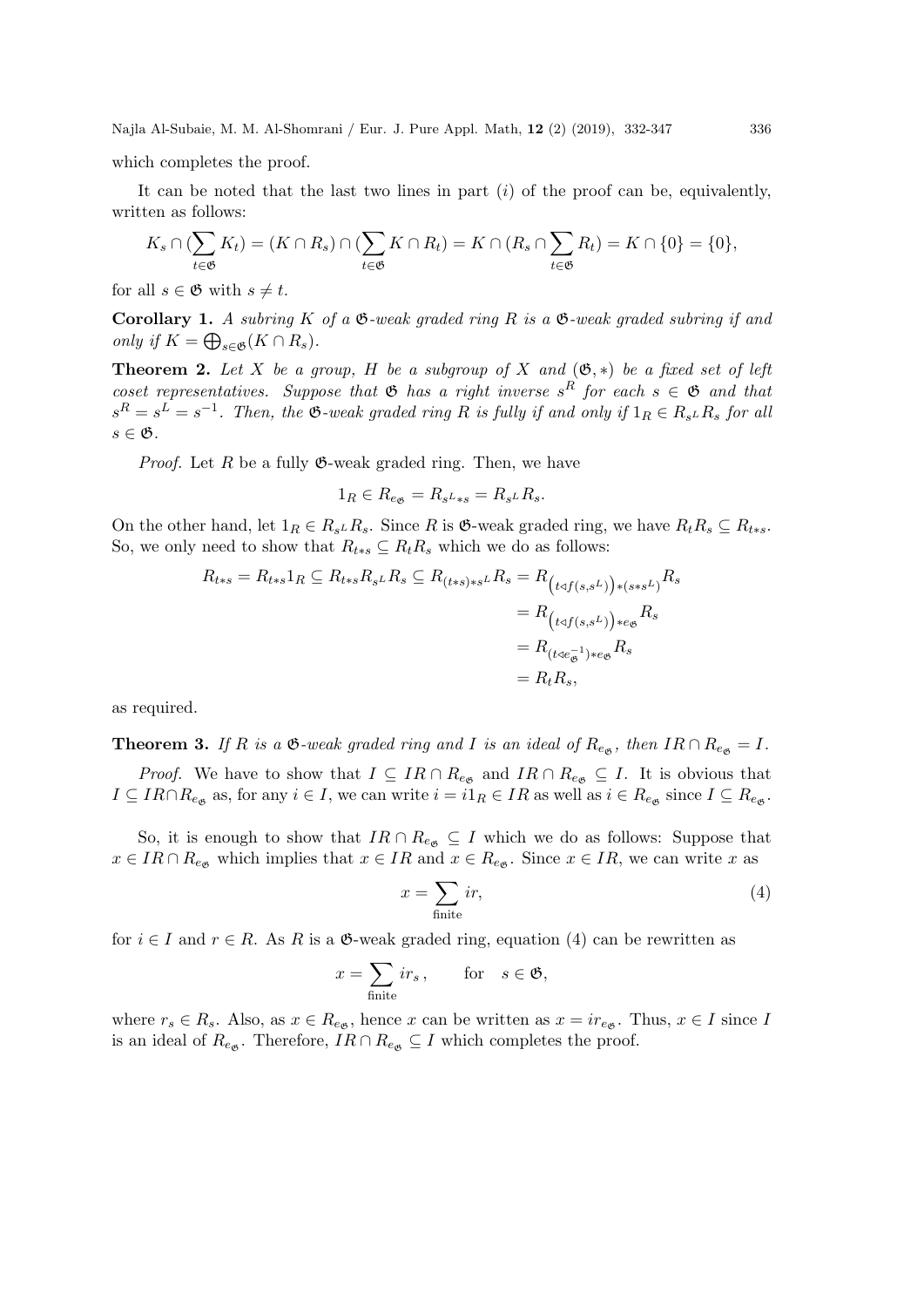which completes the proof.

It can be noted that the last two lines in part  $(i)$  of the proof can be, equivalently, written as follows:

$$
K_s \cap (\sum_{t \in \mathfrak{G}} K_t) = (K \cap R_s) \cap (\sum_{t \in \mathfrak{G}} K \cap R_t) = K \cap (R_s \cap \sum_{t \in \mathfrak{G}} R_t) = K \cap \{0\} = \{0\},\
$$

for all  $s \in \mathfrak{G}$  with  $s \neq t$ .

**Corollary 1.** A subring K of a  $\mathfrak{G}-weak$  graded ring R is a  $\mathfrak{G}-weak$  graded subring if and only if  $K = \bigoplus_{s \in \mathfrak{G}} (K \cap R_s)$ .

**Theorem 2.** Let X be a group, H be a subgroup of X and  $(\mathfrak{G}, *)$  be a fixed set of left coset representatives. Suppose that  $\mathfrak{G}$  has a right inverse  $s^R$  for each  $s \in \mathfrak{G}$  and that  $s^R = s^L = s^{-1}$ . Then, the  $\mathfrak{G}\text{-weak graded ring }R$  is fully if and only if  $1_R \in R_{s^L}R_s$  for all  $s \in \mathfrak{G}$ .

*Proof.* Let R be a fully  $\mathfrak{G}\text{-weak graded ring. Then, we have}$ 

$$
1_R \in R_{e_{\mathfrak{G}}} = R_{s^L * s} = R_{s^L} R_s.
$$

On the other hand, let  $1_R \in R_{s^L} R_s$ . Since R is  $\mathfrak{G}\text{-weak graded ring, we have } R_tR_s \subseteq R_{t*s}$ . So, we only need to show that  $R_{t*s} \subseteq R_tR_s$  which we do as follows:

$$
R_{t*s} = R_{t*s}1_R \subseteq R_{t*s}R_{sL}R_s \subseteq R_{(t*s)*sL}R_s = R_{(t\triangle f(s,s^L))*(s*s^L)}R_s
$$
  
=  $R_{(t\triangle f(s,s^L))*e_{\mathfrak{G}}}R_s$   
=  $R_{(t\triangle e_{\mathfrak{G}}^{-1})*e_{\mathfrak{G}}}R_s$   
=  $R_tR_s$ ,

as required.

**Theorem 3.** If R is a  $\mathfrak{G}\text{-weak graded ring and } I$  is an ideal of  $R_{e_{\mathfrak{G}}}$ , then  $IR \cap R_{e_{\mathfrak{G}}} = I$ .

*Proof.* We have to show that  $I \subseteq IR \cap R_{e_{\mathfrak{G}}}$  and  $IR \cap R_{e_{\mathfrak{G}}} \subseteq I$ . It is obvious that  $I \subseteq IR \cap R_{e_{\mathfrak{G}}}$  as, for any  $i \in I$ , we can write  $i = i1_R \in IR$  as well as  $i \in R_{e_{\mathfrak{G}}}$  since  $I \subseteq R_{e_{\mathfrak{G}}}$ .

So, it is enough to show that  $IR \cap R_{e_{\mathfrak{G}}} \subseteq I$  which we do as follows: Suppose that  $x \in IR \cap R_{e_{\mathfrak{G}}}$  which implies that  $x \in IR$  and  $x \in R_{e_{\mathfrak{G}}}$ . Since  $x \in IR$ , we can write x as

$$
x = \sum_{\text{finite}} ir,\tag{4}
$$

for  $i \in I$  and  $r \in R$ . As R is a  $\mathfrak{G}\text{-weak graded ring, equation (4) can be rewritten as}$ 

$$
x = \sum_{\text{finite}} ir_s, \qquad \text{for} \quad s \in \mathfrak{G},
$$

where  $r_s \in R_s$ . Also, as  $x \in R_{e_{\mathfrak{G}}}$ , hence x can be written as  $x = ir_{e_{\mathfrak{G}}}$ . Thus,  $x \in I$  since I is an ideal of  $R_{e_{\mathfrak{G}}}$ . Therefore,  $IR \cap R_{e_{\mathfrak{G}}} \subseteq I$  which completes the proof.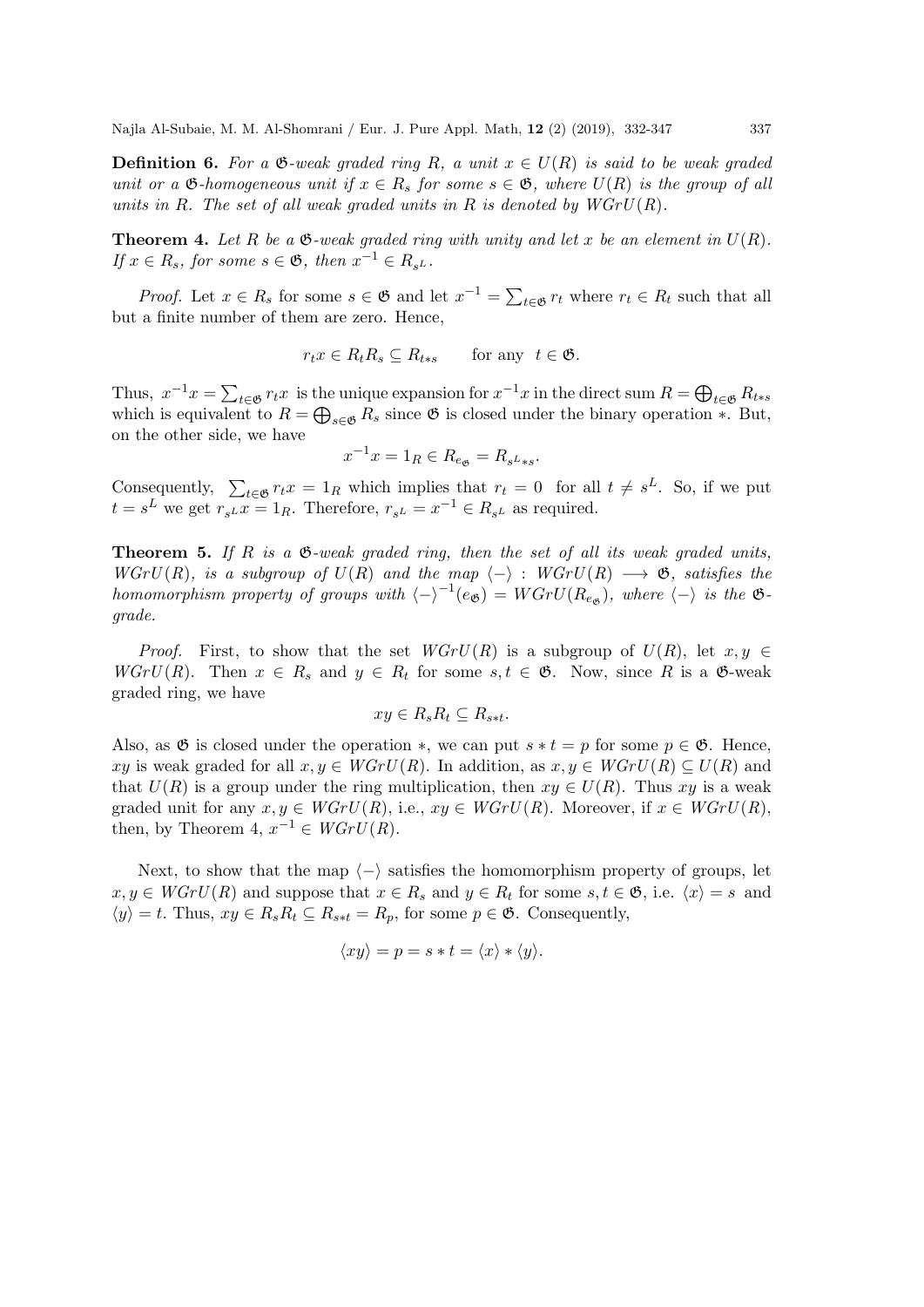**Definition 6.** For a  $\mathfrak{G}\text{-}weak\+grad\+\sin\theta\+R$ , a unit  $x \in U(R)$  is said to be weak graded unit or a  $\mathfrak{G}\text{-}homogeneous$  unit if  $x \in R_s$  for some  $s \in \mathfrak{G}$ , where  $U(R)$  is the group of all units in R. The set of all weak graded units in R is denoted by  $WGrU(R)$ .

**Theorem 4.** Let R be a  $\mathfrak{G}$ -weak graded ring with unity and let x be an element in  $U(R)$ . If  $x \in R_s$ , for some  $s \in \mathfrak{G}$ , then  $x^{-1} \in R_{s^L}$ .

*Proof.* Let  $x \in R_s$  for some  $s \in \mathfrak{G}$  and let  $x^{-1} = \sum_{t \in \mathfrak{G}} r_t$  where  $r_t \in R_t$  such that all but a finite number of them are zero. Hence,

$$
r_t x \in R_t R_s \subseteq R_{t*s} \quad \text{for any } t \in \mathfrak{G}.
$$

Thus,  $x^{-1}x = \sum_{t \in \mathfrak{G}} r_t x$  is the unique expansion for  $x^{-1}x$  in the direct sum  $R = \bigoplus_{t \in \mathfrak{G}} R_{t*s}$ which is equivalent to  $R = \bigoplus_{s \in \mathfrak{G}} R_s$  since  $\mathfrak{G}$  is closed under the binary operation  $*$ . But, on the other side, we have

$$
x^{-1}x = 1_R \in R_{e_{\mathfrak{G}}} = R_{s^L * s}.
$$

Consequently,  $\sum_{t \in \mathfrak{G}} r_t x = 1_R$  which implies that  $r_t = 0$  for all  $t \neq s^L$ . So, if we put  $t = s^L$  we get  $r_{s^L} x = 1_R$ . Therefore,  $r_{s^L} = x^{-1} \in R_{s^L}$  as required.

**Theorem 5.** If R is a  $\mathfrak{G}$ -weak graded ring, then the set of all its weak graded units, WGrU(R), is a subgroup of  $U(R)$  and the map  $\langle - \rangle : WGrU(R) \longrightarrow \mathfrak{G}$ , satisfies the homomorphism property of groups with  $\langle -\rangle^{-1}(e_{\mathfrak{G}}) = WGrU(R_{e_{\mathfrak{G}}})$ , where  $\langle -\rangle$  is the  $\mathfrak{G}$ grade.

*Proof.* First, to show that the set  $WGrU(R)$  is a subgroup of  $U(R)$ , let  $x, y \in$  $WGrU(R)$ . Then  $x \in R_s$  and  $y \in R_t$  for some  $s, t \in \mathfrak{G}$ . Now, since R is a  $\mathfrak{G}\text{-weak}$ graded ring, we have

$$
xy \in R_s R_t \subseteq R_{s*t}.
$$

Also, as  $\mathfrak G$  is closed under the operation  $*$ , we can put  $s * t = p$  for some  $p \in \mathfrak G$ . Hence, xy is weak graded for all  $x, y \in WGrU(R)$ . In addition, as  $x, y \in WGrU(R) \subseteq U(R)$  and that  $U(R)$  is a group under the ring multiplication, then  $xy \in U(R)$ . Thus xy is a weak graded unit for any  $x, y \in WGrU(R)$ , i.e.,  $xy \in WGrU(R)$ . Moreover, if  $x \in WGrU(R)$ , then, by Theorem 4,  $x^{-1} \in WGrU(R)$ .

Next, to show that the map  $\langle - \rangle$  satisfies the homomorphism property of groups, let  $x, y \in WGrU(R)$  and suppose that  $x \in R_s$  and  $y \in R_t$  for some  $s, t \in \mathfrak{G}$ , i.e.  $\langle x \rangle = s$  and  $\langle y \rangle = t$ . Thus,  $xy \in R_s R_t \subseteq R_{s*t} = R_p$ , for some  $p \in \mathfrak{G}$ . Consequently,

$$
\langle xy \rangle = p = s * t = \langle x \rangle * \langle y \rangle.
$$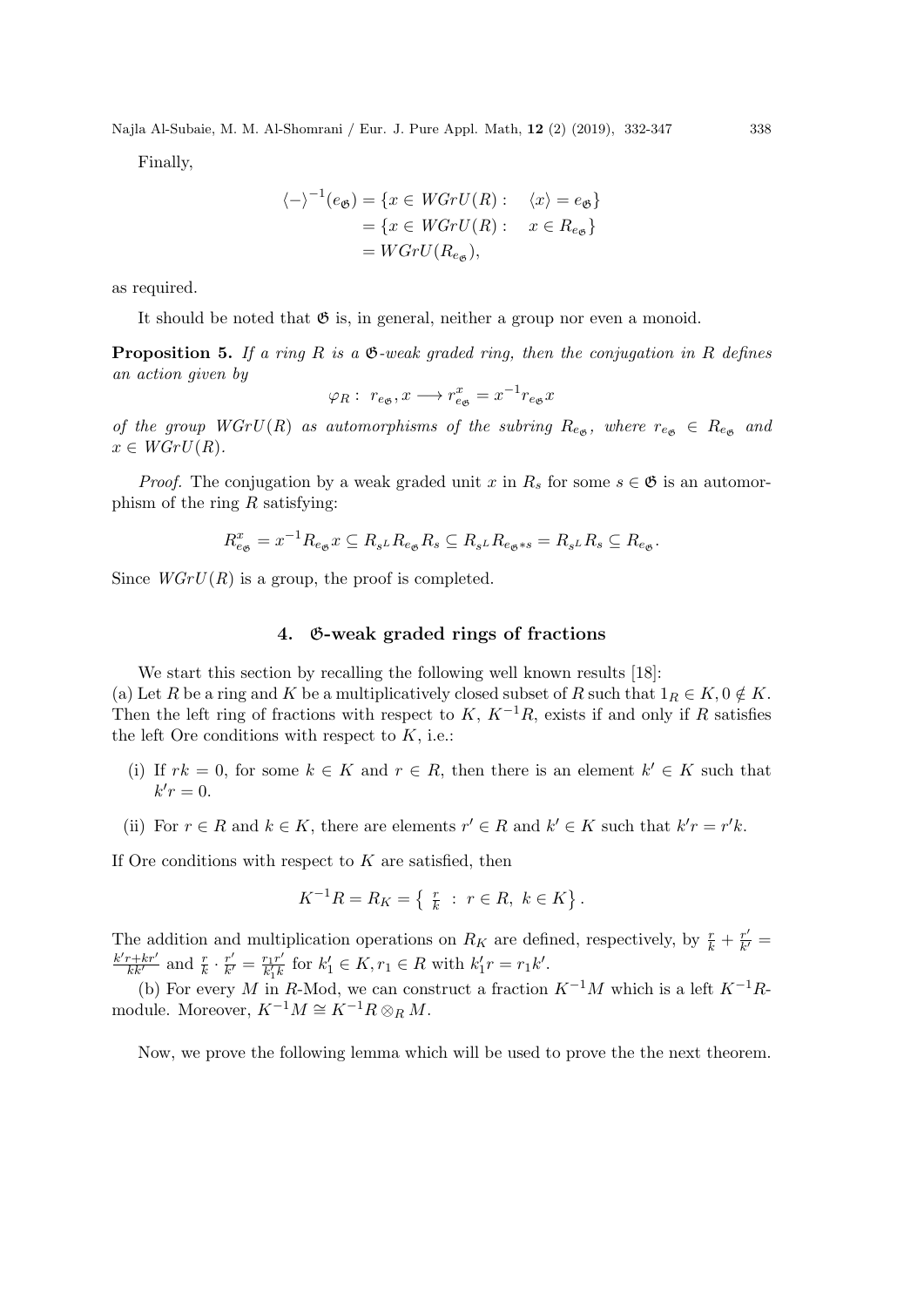Finally,

$$
\langle - \rangle^{-1}(e_{\mathfrak{G}}) = \{ x \in WGrU(R) : \langle x \rangle = e_{\mathfrak{G}} \}
$$

$$
= \{ x \in WGrU(R) : x \in R_{e_{\mathfrak{G}}} \}
$$

$$
= WGrU(R_{e_{\mathfrak{G}}}),
$$

as required.

It should be noted that  $\mathfrak{G}$  is, in general, neither a group nor even a monoid.

**Proposition 5.** If a ring R is a  $\mathfrak{G}\text{-weak graded ring, then the conjugation in }R$  defines an action given by

$$
\varphi_R: r_{e_{\mathfrak{G}}}, x \longrightarrow r_{e_{\mathfrak{G}}}^x = x^{-1}r_{e_{\mathfrak{G}}}x
$$

of the group  $WGrU(R)$  as automorphisms of the subring  $R_{e_{\mathfrak{G}}},$  where  $r_{e_{\mathfrak{G}}} \in R_{e_{\mathfrak{G}}}$  and  $x \in WGrU(R)$ .

*Proof.* The conjugation by a weak graded unit x in  $R_s$  for some  $s \in \mathfrak{G}$  is an automorphism of the ring  $R$  satisfying:

$$
R_{e_{\mathfrak{G}}}^x = x^{-1} R_{e_{\mathfrak{G}}} x \subseteq R_{s^L} R_{e_{\mathfrak{G}}} R_s \subseteq R_{s^L} R_{e_{\mathfrak{G}} \ast s} = R_{s^L} R_s \subseteq R_{e_{\mathfrak{G}}}.
$$

Since  $WGrU(R)$  is a group, the proof is completed.

#### 4. G-weak graded rings of fractions

We start this section by recalling the following well known results [18]:

(a) Let R be a ring and K be a multiplicatively closed subset of R such that  $1_R \in K$ ,  $0 \notin K$ . Then the left ring of fractions with respect to K,  $K^{-1}R$ , exists if and only if R satisfies the left Ore conditions with respect to  $K$ , i.e.:

- (i) If  $rk = 0$ , for some  $k \in K$  and  $r \in R$ , then there is an element  $k' \in K$  such that  $k'r=0.$
- (ii) For  $r \in R$  and  $k \in K$ , there are elements  $r' \in R$  and  $k' \in K$  such that  $k'r = r'k$ .

If Ore conditions with respect to  $K$  are satisfied, then

$$
K^{-1}R = R_K = \left\{ \begin{array}{l} \frac{r}{k} : r \in R, \ k \in K \end{array} \right\}.
$$

The addition and multiplication operations on  $R_K$  are defined, respectively, by  $\frac{r}{k} + \frac{r'}{k}$  $\frac{r'}{k'}=$  $\frac{k'r+kr'}{kk'}$  and  $\frac{r}{k} \cdot \frac{r'}{k'}$  $\frac{r'}{k'}=\frac{r_1r'}{k_1'k}$  $\frac{r_1 r'}{k'_1 k}$  for  $k'_1 \in K, r_1 \in R$  with  $k'_1 r = r_1 k'.$ 

(b) For every M in R-Mod, we can construct a fraction  $K^{-1}M$  which is a left  $K^{-1}R$ module. Moreover,  $K^{-1}M \cong K^{-1}R \otimes_R M$ .

Now, we prove the following lemma which will be used to prove the the next theorem.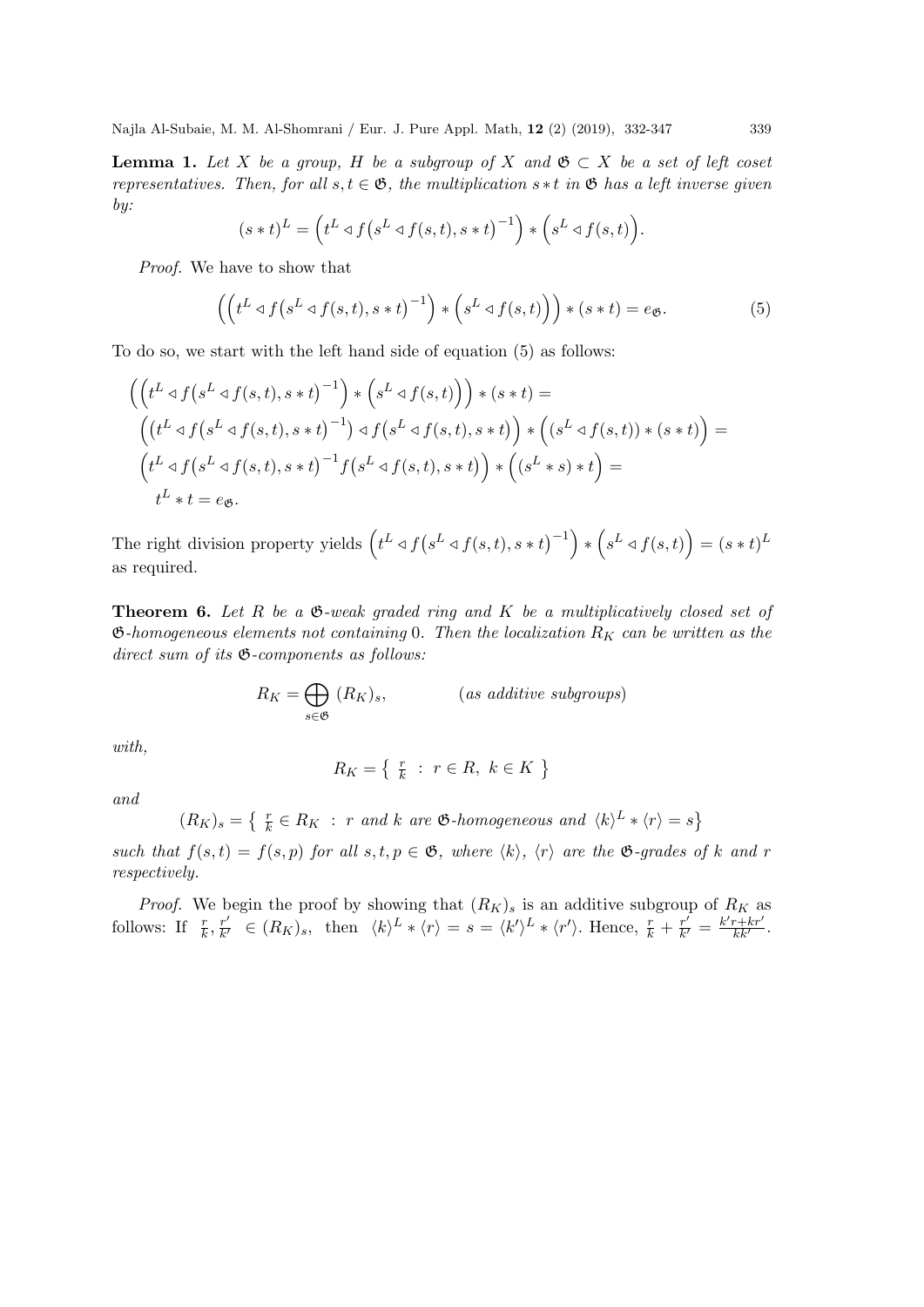**Lemma 1.** Let X be a group, H be a subgroup of X and  $\mathfrak{G} \subset X$  be a set of left coset representatives. Then, for all  $s, t \in \mathfrak{G}$ , the multiplication  $s * t$  in  $\mathfrak{G}$  has a left inverse given by:

$$
(s*t)^{L} = \left(t^{L} \triangleleft f\left(s^{L} \triangleleft f(s,t), s*t\right)^{-1}\right) * \left(s^{L} \triangleleft f(s,t)\right)\right).
$$

Proof. We have to show that

$$
\left(\left(t^L \triangleleft f\left(s^L \triangleleft f(s,t), s*t\right)^{-1}\right) * \left(s^L \triangleleft f(s,t)\right)\right) * \left(s*t\right) = e_{\mathfrak{G}}.\right\right)
$$
\n
$$
\tag{5}
$$

To do so, we start with the left hand side of equation (5) as follows:

$$
\begin{aligned}\n&\left(\left(t^L \triangleleft f\left(s^L \triangleleft f(s,t), s*t\right)^{-1}\right) * \left(s^L \triangleleft f(s,t)\right)\right) * \left(s*t\right) = \\
&\left(\left(t^L \triangleleft f\left(s^L \triangleleft f(s,t), s*t\right)^{-1}\right) \triangleleft f\left(s^L \triangleleft f(s,t), s*t\right)\right) * \left(s^L \triangleleft f(s,t)\right) * \left(s*t\right)\right\right\right) = \\
&\left(t^L \triangleleft f\left(s^L \triangleleft f(s,t), s*t\right)^{-1} f\left(s^L \triangleleft f(s,t), s*t\right)\right) * \left(s^L * s\right) * t\right\right) = \\
&\left(t^L * t = e_{\mathfrak{G}}.\n\end{aligned}
$$

The right division property yields  $(t^L \triangleleft f(s^L \triangleleft f(s,t), s*t)^{-1}) * (s^L \triangleleft f(s,t)) = (s*t)^L$ as required.

**Theorem 6.** Let R be a  $\mathfrak{G}\text{-weak graded ring and }K$  be a multiplicatively closed set of  $\mathfrak{G}\text{-}homogeneous$  elements not containing 0. Then the localization  $R_K$  can be written as the  $direct\ sum\ of\ its\ \mathfrak{G}\textrm{-}components\ as\ follows:$ 

$$
R_K = \bigoplus_{s \in \mathfrak{G}} (R_K)_s, \qquad \qquad (as additive subgroups)
$$

with,

$$
R_K = \left\{ \begin{array}{l} \frac{r}{k} \ : \ r \in R, \ k \in K \end{array} \right\}
$$

and

 $(R_K)_s = \left\{ \begin{array}{l l} \frac{r}{k} \in R_K \ : \ r \ and \ k \ are \ \mathfrak{G}\text{-}homogeneous \ and \ \langle k \rangle^L * \langle r \rangle = s \right\} \end{array}$ 

such that  $f(s,t) = f(s, p)$  for all  $s, t, p \in \mathfrak{G}$ , where  $\langle k \rangle$ ,  $\langle r \rangle$  are the  $\mathfrak{G}\text{-}\mathfrak{g}$  and  $\langle k \rangle$  and  $r$ respectively.

*Proof.* We begin the proof by showing that  $(R_K)_s$  is an additive subgroup of  $R_K$  as follows: If  $\frac{r}{k}, \frac{r'}{k'}$  $\frac{r'}{k'} \in (R_K)_s$ , then  $\langle k \rangle^L * \langle r \rangle = s = \langle k' \rangle^L * \langle r' \rangle$ . Hence,  $\frac{r}{k} + \frac{r'}{k'}$  $\frac{r'}{k'} = \frac{k'r + kr'}{kk'}$ .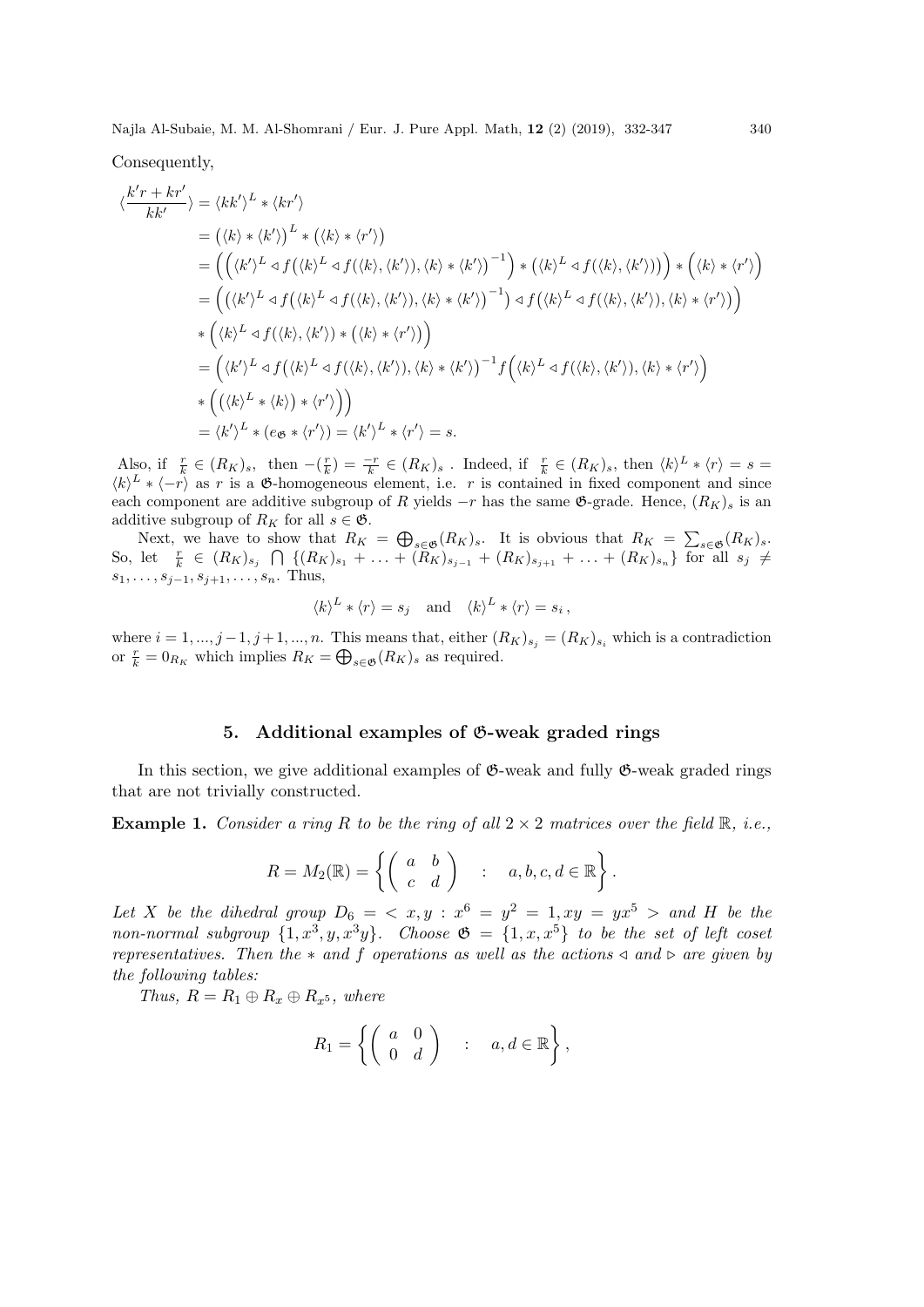Consequently,

$$
\langle \frac{k'r + kr'}{kk'} \rangle = \langle kk'\rangle^L * \langle kr'\rangle
$$
  
\n
$$
= (\langle k \rangle * \langle k'\rangle)^L * (\langle k \rangle * \langle r'\rangle)
$$
  
\n
$$
= ((\langle k'\rangle^L \triangleleft f(\langle k \rangle^L \triangleleft f(\langle k \rangle, \langle k'\rangle), \langle k \rangle * \langle k'\rangle)^{-1}) * (\langle k \rangle^L \triangleleft f(\langle k \rangle, \langle k'\rangle)) ) * (\langle k \rangle * \langle r'\rangle)
$$
  
\n
$$
= ((\langle k'\rangle^L \triangleleft f(\langle k \rangle^L \triangleleft f(\langle k \rangle, \langle k'\rangle), \langle k \rangle * \langle k'\rangle)^{-1}) \triangleleft f(\langle k \rangle^L \triangleleft f(\langle k \rangle, \langle k'\rangle), \langle k \rangle * \langle r'\rangle) \rangle
$$
  
\n
$$
* (\langle k \rangle^L \triangleleft f(\langle k \rangle, \langle k'\rangle) * (\langle k \rangle * \langle r'\rangle))
$$
  
\n
$$
= ((k')^L \triangleleft f(\langle k \rangle, \langle k'\rangle), \langle k \rangle * \langle k'\rangle)^{-1} f(\langle k \rangle^L \triangleleft f(\langle k \rangle, \langle k'\rangle), \langle k \rangle * \langle r'\rangle)
$$
  
\n
$$
* ((\langle k \rangle^L * \langle k \rangle) * \langle r'\rangle))
$$
  
\n
$$
* ((\langle k \rangle^L * \langle k \rangle) * \langle r'\rangle))
$$
  
\n
$$
= (k')^L * (e_{\mathfrak{G}} * \langle r'\rangle) = \langle k'\rangle^L * \langle r'\rangle = s.
$$

Also, if  $\frac{r}{k} \in (R_K)_s$ , then  $-(\frac{r}{k}) = \frac{-r}{k} \in (R_K)_s$ . Indeed, if  $\frac{r}{k} \in (R_K)_s$ , then  $\langle k \rangle^L * \langle r \rangle = s =$  $\langle k \rangle^L * \langle -r \rangle$  as r is a  $\mathfrak{G}$ -homogeneous element, i.e. r is contained in fixed component and since each component are additive subgroup of R yields  $-r$  has the same  $\mathfrak{G}\text{-grade}$ . Hence,  $(R_K)$  is an additive subgroup of  $R_K$  for all  $s \in \mathfrak{G}$ .

Next, we have to show that  $R_K = \bigoplus_{s \in \mathfrak{G}} (R_K)_s$ . It is obvious that  $R_K = \sum_{s \in \mathfrak{G}} (R_K)_s$ . So, let  $\frac{r}{k} \in (R_K)_{s_j} \cap \{(R_K)_{s_1} + \ldots + (\tilde{R}_K)_{s_{j-1}} + (R_K)_{s_{j+1}} + \ldots + (R_K)_{s_n}\}\$  for all  $s_j \neq$  $s_1, \ldots, s_{j-1}, s_{j+1}, \ldots, s_n$ . Thus,

$$
\langle k \rangle^L * \langle r \rangle = s_j
$$
 and  $\langle k \rangle^L * \langle r \rangle = s_i$ ,

where  $i = 1, ..., j-1, j+1, ..., n$ . This means that, either  $(R_K)_{s_j} = (R_K)_{s_i}$  which is a contradiction or  $\frac{r}{k} = 0_{R_K}$  which implies  $R_K = \bigoplus_{s \in \mathfrak{G}} (R_K)_s$  as required.

#### 5. Additional examples of G-weak graded rings

In this section, we give additional examples of  $\mathfrak{G}\text{-weak}$  and fully  $\mathfrak{G}\text{-weak}$  graded rings that are not trivially constructed.

**Example 1.** Consider a ring R to be the ring of all  $2 \times 2$  matrices over the field  $\mathbb{R}$ , i.e.,

$$
R = M_2(\mathbb{R}) = \left\{ \left( \begin{array}{cc} a & b \\ c & d \end{array} \right) \quad : \quad a, b, c, d \in \mathbb{R} \right\}.
$$

Let X be the dihedral group  $D_6 = \langle x, y : x^6 = y^2 = 1, xy = yx^5 \rangle$  and H be the non-normal subgroup  $\{1, x^3, y, x^3y\}$ . Choose  $\mathfrak{G} = \{1, x, x^5\}$  to be the set of left coset representatives. Then the  $*$  and f operations as well as the actions  $\triangleleft$  and  $\triangleright$  are given by the following tables:

Thus,  $R = R_1 \oplus R_x \oplus R_{x^5}$ , where

$$
R_1 = \left\{ \left( \begin{array}{cc} a & 0 \\ 0 & d \end{array} \right) \quad : \quad a, d \in \mathbb{R} \right\},
$$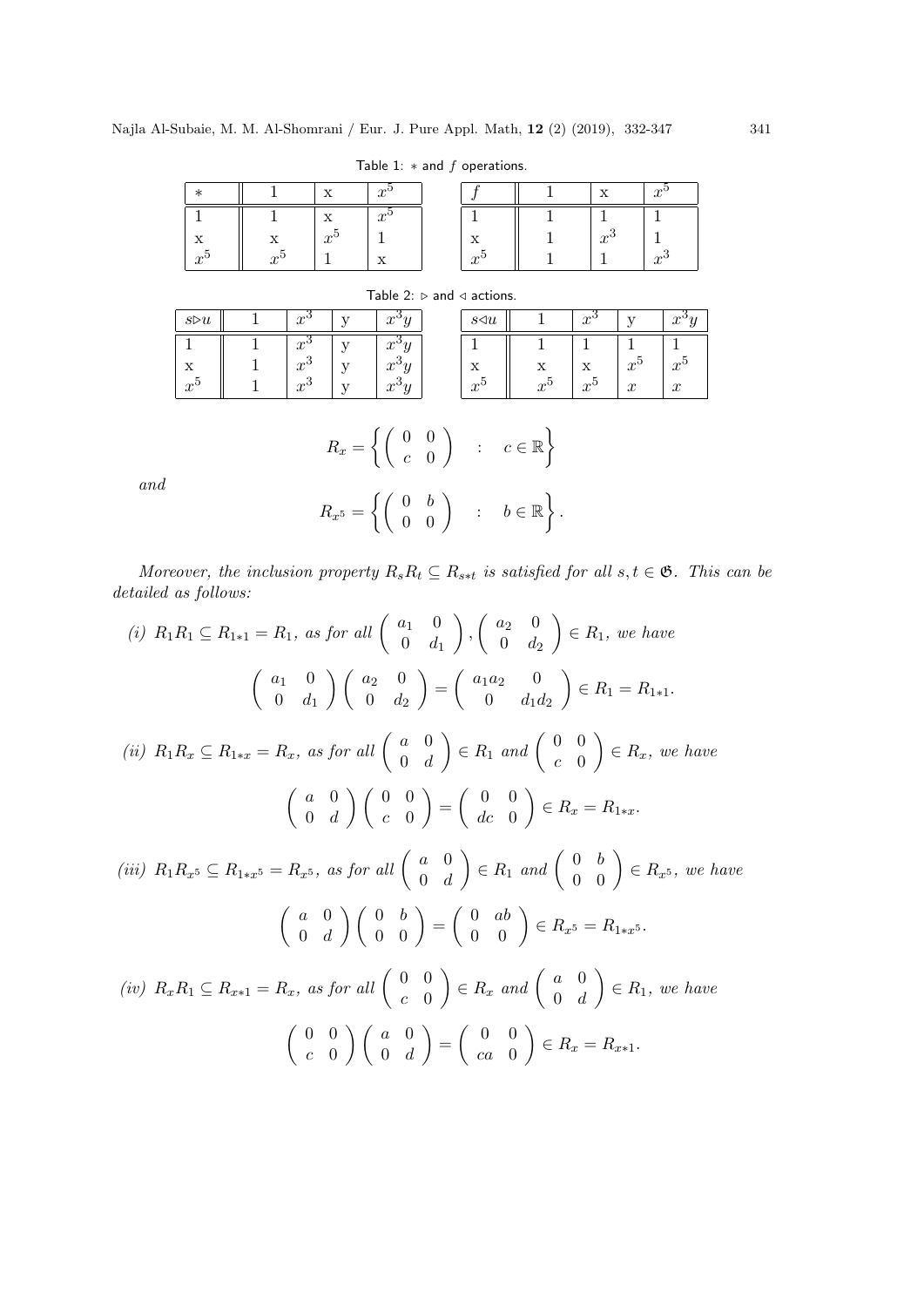|              |             | $\mathbf{r}$      | $\boldsymbol{\alpha}$<br>w |                   | 77          | $\sim$<br>u |
|--------------|-------------|-------------------|----------------------------|-------------------|-------------|-------------|
|              |             | <b>**</b><br>∡⊾   | $\sim$<br>w                |                   |             |             |
| <b>**</b>    | . .         | $\mathbf{r}$<br>u |                            | △                 | $\sim$<br>w |             |
| $\mathbf{r}$ | $\sim$<br>J |                   |                            | $\mathbf{r}$<br>w |             | $\sim$<br>w |

Table 1:  $*$  and  $f$  operations.

| Table 2: $\triangleright$ and $\triangleleft$ actions. |  |                   |  |                      |  |                     |       |                  |              |             |
|--------------------------------------------------------|--|-------------------|--|----------------------|--|---------------------|-------|------------------|--------------|-------------|
| $s \triangleright u$                                   |  | $x^{\mathsf{U}}$  |  | $\gamma$             |  | $s \triangleleft u$ |       | $x^{\mathsf{J}}$ |              | $\sim$      |
|                                                        |  | $x^{\mathbf{c}}$  |  | $x^{\cdot}$          |  |                     |       |                  |              |             |
| X                                                      |  | $x^{\mathsf{C}}$  |  | $x^{\circ}$          |  | X                   |       |                  | $x^{\cdot}$  | $x^{\cdot}$ |
| $x^{\mathbf{c}}$                                       |  | $x^{\mathcal{P}}$ |  | $\mathcal{P}^{\vee}$ |  | $x^{\circ}$         | $r^0$ | $x^{\circ}$      | $\mathbf{r}$ | $\sim$      |

# $R_x = \left\{ \begin{pmatrix} 0 & 0 \\ 0 & 0 \end{pmatrix} \right\}$  $c \quad 0$  $\Big)$  :  $c \in \mathbb{R}$  $R_{x^5} = \left\{ \left( \begin{array}{cc} 0 & b \ 0 & 0 \end{array} \right) \quad : \quad b \in \mathbb{R} \right\}.$

and

Moreover, the inclusion property  $R_sR_t \subseteq R_{s*t}$  is satisfied for all  $s, t \in \mathfrak{G}$ . This can be detailed as follows:

(i) 
$$
R_1R_1 \subseteq R_{1*1} = R_1
$$
, as for all  $\begin{pmatrix} a_1 & 0 \\ 0 & d_1 \end{pmatrix}$ ,  $\begin{pmatrix} a_2 & 0 \\ 0 & d_2 \end{pmatrix} \in R_1$ , we have  
\n $\begin{pmatrix} a_1 & 0 \\ 0 & d_1 \end{pmatrix} \begin{pmatrix} a_2 & 0 \\ 0 & d_2 \end{pmatrix} = \begin{pmatrix} a_1a_2 & 0 \\ 0 & d_1d_2 \end{pmatrix} \in R_1 = R_{1*1}.$   
\n(ii)  $R_1R_x \subseteq R_{1*x} = R_x$ , as for all  $\begin{pmatrix} a & 0 \\ 0 & d \end{pmatrix} \in R_1$  and  $\begin{pmatrix} 0 & 0 \\ c & 0 \end{pmatrix} \in R_x$ , we have  
\n $\begin{pmatrix} a & 0 \\ 0 & d \end{pmatrix} \begin{pmatrix} 0 & 0 \\ c & 0 \end{pmatrix} = \begin{pmatrix} 0 & 0 \\ dc & 0 \end{pmatrix} \in R_x = R_{1*x}.$   
\n(iii)  $R_1R_{x^5} \subseteq R_{1*x^5} = R_{x^5}$ , as for all  $\begin{pmatrix} a & 0 \\ 0 & d \end{pmatrix} \in R_1$  and  $\begin{pmatrix} 0 & b \\ 0 & 0 \end{pmatrix} \in R_{x^5}$ , we have  
\n $\begin{pmatrix} a & 0 \\ 0 & d \end{pmatrix} \begin{pmatrix} 0 & b \\ 0 & 0 \end{pmatrix} = \begin{pmatrix} 0 & ab \\ 0 & 0 \end{pmatrix} \in R_{x^5} = R_{1*x^5}.$   
\n(iv)  $R_xR_1 \subseteq R_{x*1} = R_x$ , as for all  $\begin{pmatrix} 0 & 0 \\ c & 0 \end{pmatrix} \in R_x$  and  $\begin{pmatrix} a & 0 \\ 0 & d \end{pmatrix} \in R_1$ , we have  
\n $\begin{pmatrix} 0 & 0 \\ c & 0 \end{pmatrix} \begin{pmatrix} a & 0 \\ 0 & d \end{pmatrix} = \begin{pmatrix} 0 & 0 \\ ca & 0 \end{pmatrix} \in R_x = R_{x*1}.$ 

 $x^5$ 

 $x^3$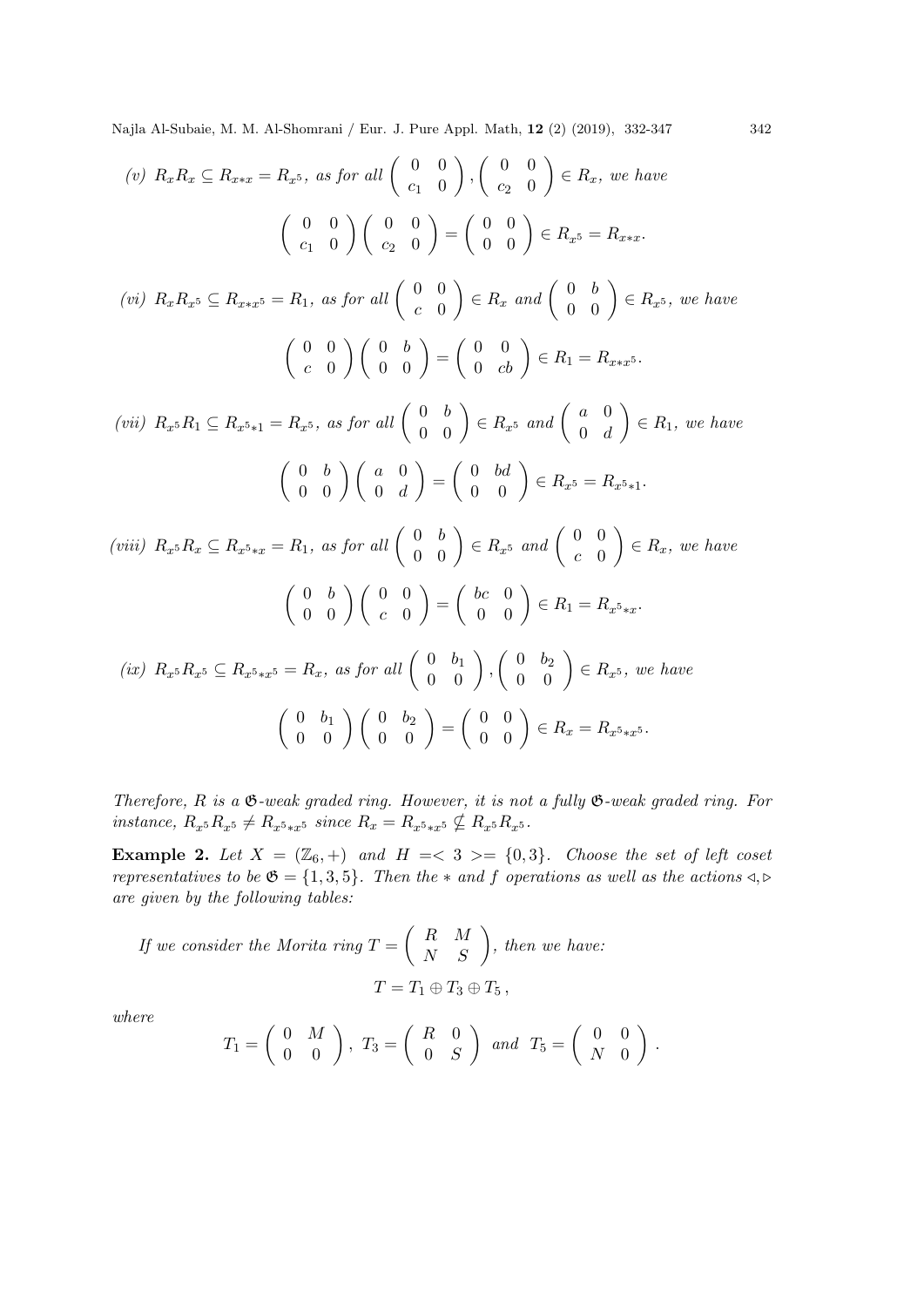(v) 
$$
R_x R_x \subseteq R_{x*x} = R_x 5
$$
, as for all  $\begin{pmatrix} 0 & 0 \\ c_1 & 0 \end{pmatrix}$ ,  $\begin{pmatrix} 0 & 0 \\ c_2 & 0 \end{pmatrix} \in R_x$ , we have  
\n
$$
\begin{pmatrix} 0 & 0 \\ c_1 & 0 \end{pmatrix} \begin{pmatrix} 0 & 0 \\ c_2 & 0 \end{pmatrix} = \begin{pmatrix} 0 & 0 \\ 0 & 0 \end{pmatrix} \in R_x 5 = R_{x*x}.
$$
\n(vi)  $R_x R_x 5 \subseteq R_{x*x} 5 = R_1$ , as for all  $\begin{pmatrix} 0 & 0 \\ c & 0 \end{pmatrix} \in R_x$  and  $\begin{pmatrix} 0 & b \\ 0 & 0 \end{pmatrix} \in R_x 5$ , we have  
\n
$$
\begin{pmatrix} 0 & 0 \\ c & 0 \end{pmatrix} \begin{pmatrix} 0 & b \\ 0 & 0 \end{pmatrix} = \begin{pmatrix} 0 & 0 \\ 0 & cb \end{pmatrix} \in R_1 = R_{x*x} 5.
$$
\n(vii)  $R_x 5R_1 \subseteq R_x 5_{*1} = R_x 5$ , as for all  $\begin{pmatrix} 0 & b \\ 0 & 0 \end{pmatrix} \in R_x 5$  and  $\begin{pmatrix} a & 0 \\ 0 & d \end{pmatrix} \in R_1$ , we have  
\n
$$
\begin{pmatrix} 0 & b \\ 0 & 0 \end{pmatrix} \begin{pmatrix} a & 0 \\ 0 & d \end{pmatrix} = \begin{pmatrix} 0 & bd \\ 0 & 0 \end{pmatrix} \in R_x 5 = R_x 5_{*1}.
$$
\n(viii)  $R_x 5R_x \subseteq R_x 5_{*x} = R_1$ , as for all  $\begin{pmatrix} 0 & b \\ 0 & 0 \end{pmatrix} \in R_x 5$  and  $\begin{pmatrix} 0 & 0 \\ c & 0 \end{pmatrix} \in R_x$ , we have  
\n
$$
\begin{pmatrix} 0 & b \\ 0 & 0 \end{pmatrix} \begin{pmatrix} 0 & 0 \\ c & 0 \end{pmatrix} = \begin{pmatrix} bc & 0 \\ 0 & 0 \end{pmatrix} \in R_1 = R_x 5_{*x}.
$$
\n(ix)  $R_x$ 

Therefore,  $R$  is a  $\mathfrak{G}\text{-weak graded ring.}$  However, it is not a fully  $\mathfrak{G}\text{-weak graded ring.}$  For instance,  $R_{x^5}R_{x^5} \neq R_{x^5*x^5}$  since  $R_x = R_{x^5*x^5} \nsubseteq R_{x^5}R_{x^5}$ .

Example 2. Let  $X = (\mathbb{Z}_6, +)$  and  $H = \langle 3 \rangle = \{0,3\}$ . Choose the set of left coset representatives to be  $\mathfrak{G} = \{1,3,5\}$ . Then the  $*$  and  $f$  operations as well as the actions  $\triangleleft, \triangleright$ are given by the following tables:

If we consider the Morita ring  $T = \begin{pmatrix} R & M \\ N & S \end{pmatrix}$ , then we have:  $T = T_1 \oplus T_3 \oplus T_5$ ,

where

$$
T_1=\left(\begin{array}{cc}0&M\\0&0\end{array}\right),\ T_3=\left(\begin{array}{cc}R&0\\0&S\end{array}\right)\ and\ T_5=\left(\begin{array}{cc}0&0\\N&0\end{array}\right).
$$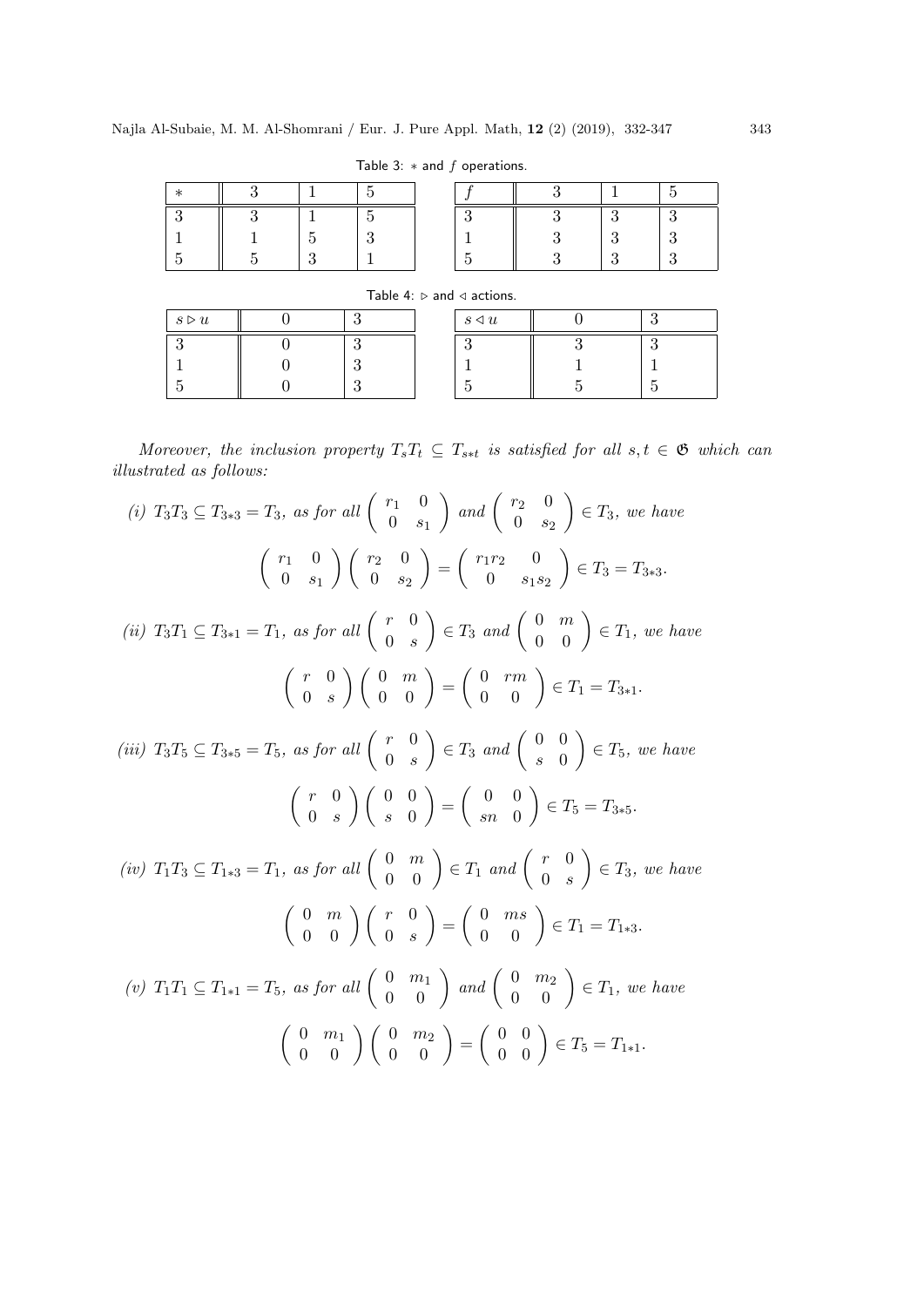Table 3:  $*$  and  $f$  operations.

|                      |  | Table 4: $\triangleright$ and $\triangleleft$ actions. |    |
|----------------------|--|--------------------------------------------------------|----|
| $s \triangleright u$ |  | $s \triangleleft u$                                    | ാ  |
|                      |  |                                                        | റ  |
|                      |  |                                                        |    |
|                      |  |                                                        | Б, |

Moreover, the inclusion property  $T_sT_t \subseteq T_{s*t}$  is satisfied for all  $s, t \in \mathfrak{G}$  which can illustrated as follows:

(i) 
$$
T_3T_3 \subseteq T_{3*3} = T_3
$$
, as for all  $\begin{pmatrix} r_1 & 0 \ 0 & s_1 \end{pmatrix}$  and  $\begin{pmatrix} r_2 & 0 \ 0 & s_2 \end{pmatrix} \in T_3$ , we have  
\n $\begin{pmatrix} r_1 & 0 \ 0 & s_1 \end{pmatrix} \begin{pmatrix} r_2 & 0 \ 0 & s_2 \end{pmatrix} = \begin{pmatrix} r_1r_2 & 0 \ 0 & s_1s_2 \end{pmatrix} \in T_3 = T_{3*3}.$   
\n(ii)  $T_3T_1 \subseteq T_{3*1} = T_1$ , as for all  $\begin{pmatrix} r & 0 \ 0 & s \end{pmatrix} \in T_3$  and  $\begin{pmatrix} 0 & m \ 0 & 0 \end{pmatrix} \in T_1$ , we have  
\n $\begin{pmatrix} r & 0 \ 0 & s \end{pmatrix} \begin{pmatrix} 0 & m \ 0 & 0 \end{pmatrix} = \begin{pmatrix} 0 & rm \ 0 & 0 \end{pmatrix} \in T_1 = T_{3*1}.$   
\n(iii)  $T_3T_5 \subseteq T_{3*5} = T_5$ , as for all  $\begin{pmatrix} r & 0 \ 0 & s \end{pmatrix} \in T_3$  and  $\begin{pmatrix} 0 & 0 \ s & 0 \end{pmatrix} \in T_5$ , we have  
\n $\begin{pmatrix} r & 0 \ 0 & s \end{pmatrix} \begin{pmatrix} 0 & 0 \ s & 0 \end{pmatrix} = \begin{pmatrix} 0 & 0 \ s & 0 \end{pmatrix} \in T_5 = T_{3*5}.$   
\n(iv)  $T_1T_3 \subseteq T_{1*3} = T_1$ , as for all  $\begin{pmatrix} 0 & m \ 0 & 0 \end{pmatrix} \in T_1$  and  $\begin{pmatrix} r & 0 \ 0 & s \end{pmatrix} \in T_3$ , we have  
\n $\begin{pmatrix} 0 & m \ 0 & 0 \end{pmatrix} \begin{pmatrix} r & 0 \ 0 & s \end{pmatrix} = \begin{pmatrix} 0 & ms \ 0 & 0 \end{pmatrix} \in T_1 = T_{1*3}.$   
\n(v)  $T_1T_1 \subseteq T_{1$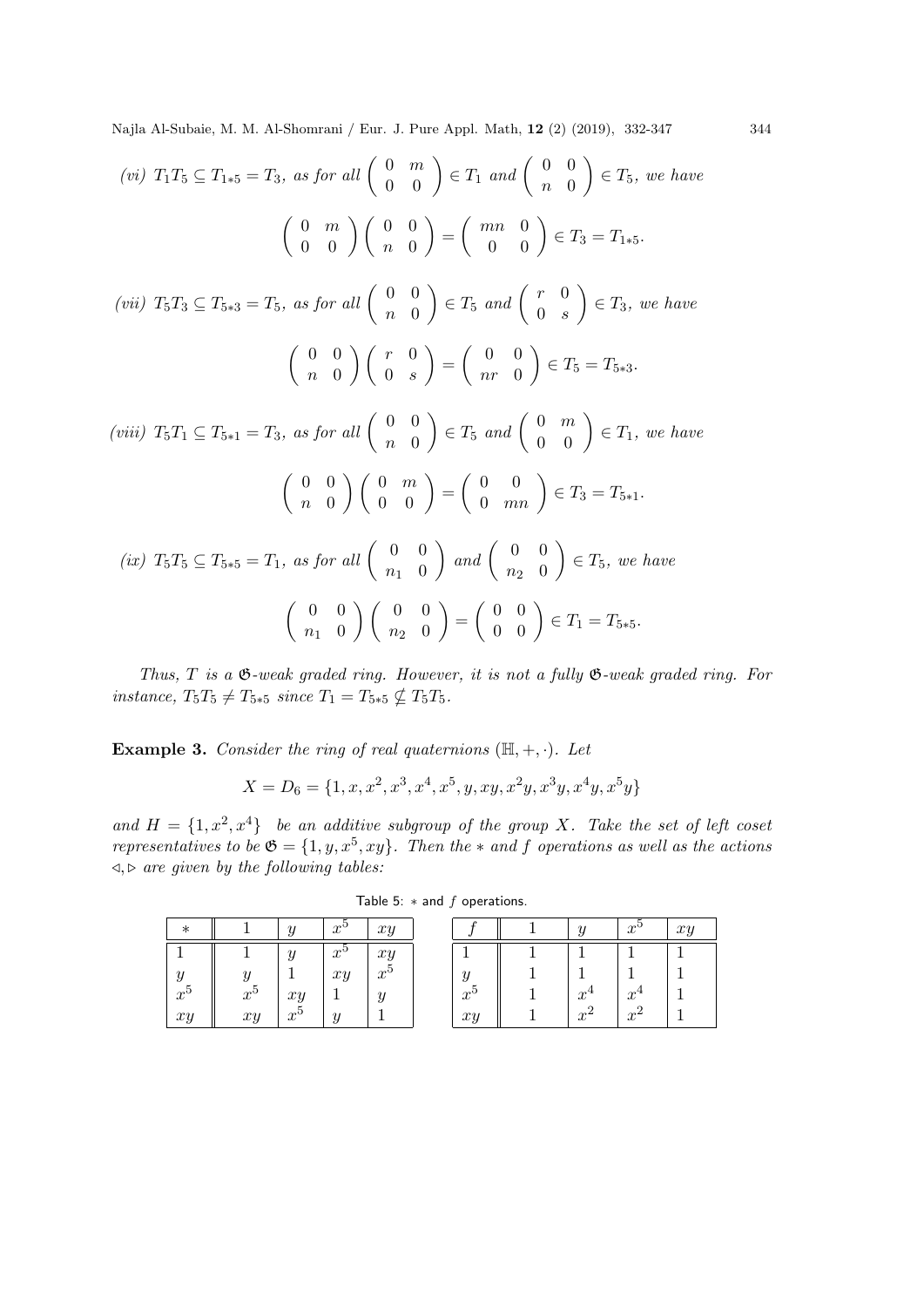$$
(vi) T_1T_5 \subseteq T_{1*5} = T_3, \text{ as for all } \begin{pmatrix} 0 & m \\ 0 & 0 \end{pmatrix} \in T_1 \text{ and } \begin{pmatrix} 0 & 0 \\ n & 0 \end{pmatrix} \in T_5, \text{ we have}
$$
\n
$$
\begin{pmatrix} 0 & m \\ 0 & 0 \end{pmatrix} \begin{pmatrix} 0 & 0 \\ n & 0 \end{pmatrix} = \begin{pmatrix} mn & 0 \\ 0 & 0 \end{pmatrix} \in T_3 = T_{1*5}.
$$
\n
$$
(vii) T_5T_3 \subseteq T_{5*3} = T_5, \text{ as for all } \begin{pmatrix} 0 & 0 \\ n & 0 \end{pmatrix} \in T_5 \text{ and } \begin{pmatrix} r & 0 \\ 0 & s \end{pmatrix} \in T_3, \text{ we have}
$$
\n
$$
\begin{pmatrix} 0 & 0 \\ n & 0 \end{pmatrix} \begin{pmatrix} r & 0 \\ 0 & s \end{pmatrix} = \begin{pmatrix} 0 & 0 \\ nr & 0 \end{pmatrix} \in T_5 = T_{5*3}.
$$
\n
$$
(viii) T_5T_1 \subseteq T_{5*1} = T_3, \text{ as for all } \begin{pmatrix} 0 & 0 \\ n & 0 \end{pmatrix} \in T_5 \text{ and } \begin{pmatrix} 0 & m \\ 0 & 0 \end{pmatrix} \in T_1, \text{ we have}
$$
\n
$$
\begin{pmatrix} 0 & 0 \\ n & 0 \end{pmatrix} \begin{pmatrix} 0 & m \\ 0 & 0 \end{pmatrix} = \begin{pmatrix} 0 & 0 \\ 0 & mn \end{pmatrix} \in T_3 = T_{5*1}.
$$
\n
$$
(ix) T_5T_5 \subseteq T_{5*5} = T_1, \text{ as for all } \begin{pmatrix} 0 & 0 \\ n_1 & 0 \end{pmatrix} \text{ and } \begin{pmatrix} 0 & 0 \\ n_2 & 0 \end{pmatrix} \in T_5, \text{ we have}
$$
\n
$$
\begin{pmatrix} 0 & 0 \\ n_1 & 0 \end{pmatrix} \begin{pmatrix} 0 & 0 \\ n_2 & 0 \end{pmatrix} = \begin{pmatrix} 0 & 0 \\ 0 & 0 \end{pmatrix} \in T_1 = T_{5*5}.
$$

Thus,  $T$  is a  $\mathfrak{G}\text{-weak graded ring.}$  However, it is not a fully  $\mathfrak{G}\text{-weak graded ring.}$  For instance,  $T_5T_5 \neq T_{5*5}$  since  $T_1 = T_{5*5} \nsubseteq T_5T_5$ .

**Example 3.** Consider the ring of real quaternions  $(\mathbb{H}, +, \cdot)$ . Let

$$
X=D_6=\{1,x,x^2,x^3,x^4,x^5,y,xy,x^2y,x^3y,x^4y,x^5y\}
$$

and  $H = \{1, x^2, x^4\}$  be an additive subgroup of the group X. Take the set of left coset representatives to be  $\mathfrak{G} = \{1, y, x^5, xy\}$ . Then the  $*$  and f operations as well as the actions  $\triangleleft, \triangleright$  are given by the following tables:

| $\ast$          |                 | U                                        | $x^5$ | xy                                       |
|-----------------|-----------------|------------------------------------------|-------|------------------------------------------|
|                 |                 | Y                                        | $x^5$ | $\begin{array}{c} xy \\ x^5 \end{array}$ |
| $\frac{y}{x^5}$ | $\frac{y}{x^5}$ |                                          | xy    |                                          |
|                 |                 | $\begin{array}{c} xy \\ x^5 \end{array}$ |       |                                          |
| xy              | xy              |                                          |       |                                          |

Table 5:  $*$  and  $f$  operations.

|                 |       | $x^5$            | xy |
|-----------------|-------|------------------|----|
|                 |       |                  |    |
|                 |       |                  |    |
| $\frac{5}{x^5}$ | $x^4$ | $x^4$            |    |
| xy              |       | $\boldsymbol{x}$ |    |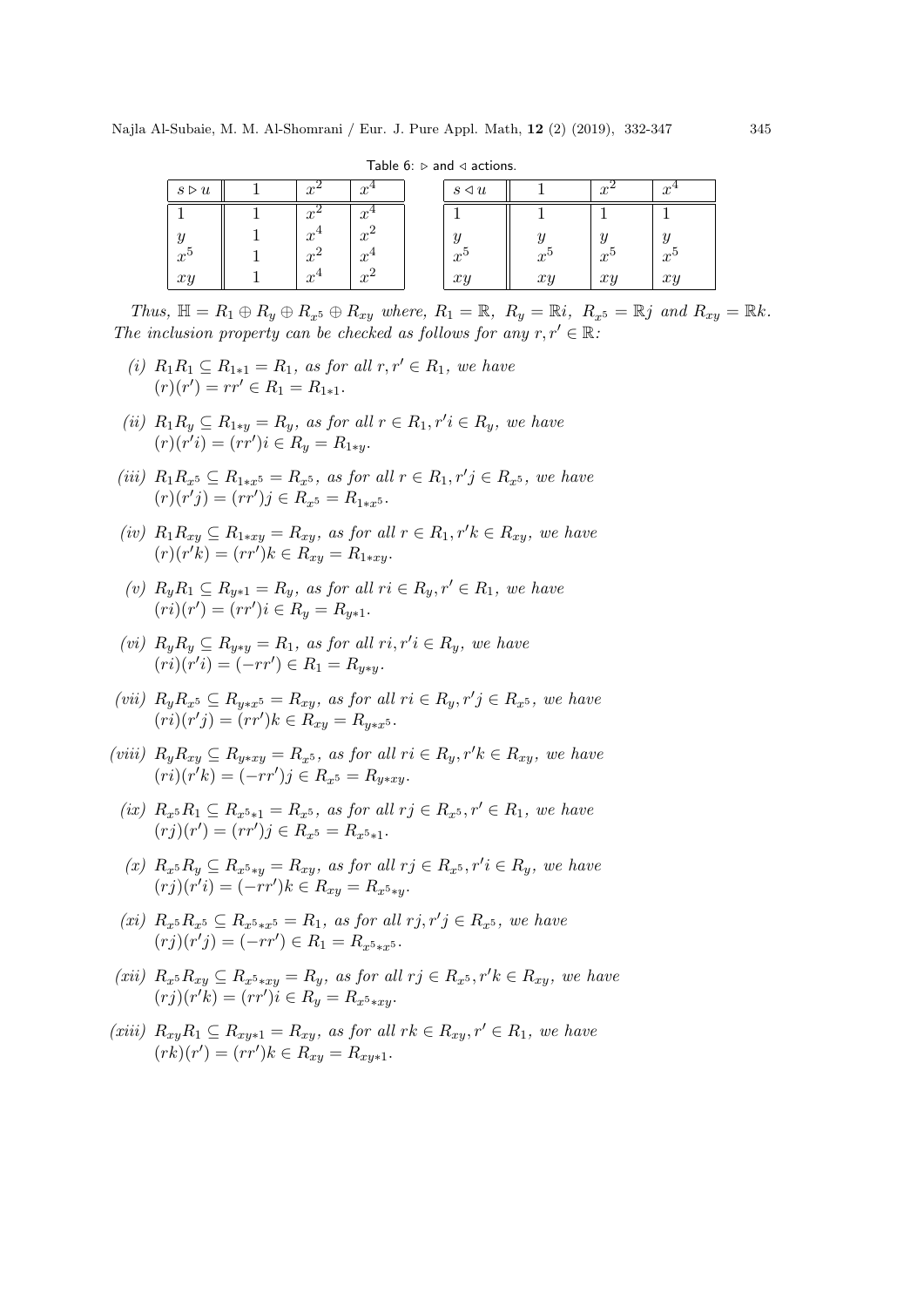|                      |                   |                               | --------                   |             |                  |             |
|----------------------|-------------------|-------------------------------|----------------------------|-------------|------------------|-------------|
| $s \triangleright u$ |                   | $\boldsymbol{x}$              | $s \triangleleft u$        |             |                  |             |
|                      | x                 | $\boldsymbol{x}$              |                            |             |                  |             |
| Y                    | $x^{\mathbb{R}}$  | $\Omega$<br>$x^2$             | $\boldsymbol{\mathcal{U}}$ |             | $\overline{a}$   | $\eta$      |
| $x^{\epsilon}$       | $x^{\mathcal{L}}$ | $x^{\mathcal{I}}$             | $x^{\varepsilon}$          | $x^{\rm o}$ | $x^{\mathsf{U}}$ | $x^{\circ}$ |
| xi                   | $x\$              | $\Omega$<br>$x^{\mathcal{L}}$ | $\gamma$                   | xy          | $x_2$            | $x_2$       |
|                      |                   |                               |                            |             |                  |             |

Table  $6: \triangleright$  and  $\triangleleft$  actions.

Thus,  $\mathbb{H} = R_1 \oplus R_y \oplus R_{x^5} \oplus R_{xy}$  where,  $R_1 = \mathbb{R}$ ,  $R_y = \mathbb{R}i$ ,  $R_{x^5} = \mathbb{R}j$  and  $R_{xy} = \mathbb{R}k$ . The inclusion property can be checked as follows for any  $r, r' \in \mathbb{R}$ :

- (i)  $R_1R_1 \subseteq R_{1*1} = R_1$ , as for all  $r, r' \in R_1$ , we have  $(r)(r') = rr' \in R_1 = R_{1*1}.$
- (ii)  $R_1R_y \subseteq R_{1*y} = R_y$ , as for all  $r \in R_1, r'i \in R_y$ , we have  $(r)(r'i) = (rr')i \in R_y = R_{1*y}.$
- (iii)  $R_1 R_{x^5} \subseteq R_{1*x^5} = R_{x^5}$ , as for all  $r \in R_1, r'j \in R_{x^5}$ , we have  $(r)(r'j) = (rr')j \in R_{x^5} = R_{1*x^5}.$
- (iv)  $R_1R_{xy} \subseteq R_{1*xy} = R_{xy}$ , as for all  $r \in R_1, r'k \in R_{xy}$ , we have  $(r)(r'k) = (rr')k \in R_{xy} = R_{1*xy}.$
- (v)  $R_{\nu}R_1 \subseteq R_{\nu*1} = R_{\nu}$ , as for all  $ri \in R_{\nu}$ ,  $r' \in R_1$ , we have  $(ri)(r') = (rr')i \in R_y = R_{y*1}.$
- (vi)  $R_y R_y \subseteq R_{y*y} = R_1$ , as for all  $ri, r'i \in R_y$ , we have  $(ri)(r'i) = (-rr') \in R_1 = R_{y*y}.$
- (vii)  $R_y R_{x^5} \subseteq R_{y*x^5} = R_{xy}$ , as for all  $ri \in R_y, r'j \in R_{x^5}$ , we have  $(ri)(r'j) = (rr')k \in R_{xy} = R_{y*x^5}.$
- (viii)  $R_yR_{xy} \subseteq R_{y*xy} = R_{x^5}$ , as for all  $ri \in R_y, r'k \in R_{xy}$ , we have  $(ri)(r'k) = (-rr')j \in R_{x^5} = R_{y*xy}.$ 
	- (ix)  $R_x$ 5 $R_1 \subseteq R_x$ 5\*1 =  $R_x$ 5, as for all  $r_j \in R_x$ 5,  $r' \in R_1$ , we have  $(rj)(r') = (rr')j \in R_{x^5} = R_{x^5 \ast 1}.$
	- (x)  $R_x$ <sup>5</sup> $R_y \subseteq R_x$ <sup>5</sup>\*y =  $R_{xy}$ , as for all  $r_j \in R_x$ <sup>5</sup>,  $r'i \in R_y$ , we have  $(rj)(r'i) = (-rr')k \in R_{xy} = R_{x^5*y}.$
	- (xi)  $R_{x^5}R_{x^5} \subseteq R_{x^5*x^5} = R_1$ , as for all  $rj, r'j \in R_{x^5}$ , we have  $(rj)(r'j) = (-rr') \in R_1 = R_{x^5 * x^5}.$
- (xii)  $R_{x5}R_{xy} \subseteq R_{x5*xy} = R_y$ , as for all  $r_j \in R_{x5}$ ,  $r'k \in R_{xy}$ , we have  $(rj)(r'k) = (rr')\tilde{i} \in R_y = R_{x^5 * xy}.$
- (xiii)  $R_{xy}R_1 \subseteq R_{xy*1} = R_{xy}$ , as for all  $rk \in R_{xy}$ ,  $r' \in R_1$ , we have  $(rk)(r') = (rr')k \in R_{xy} = R_{xy*1}.$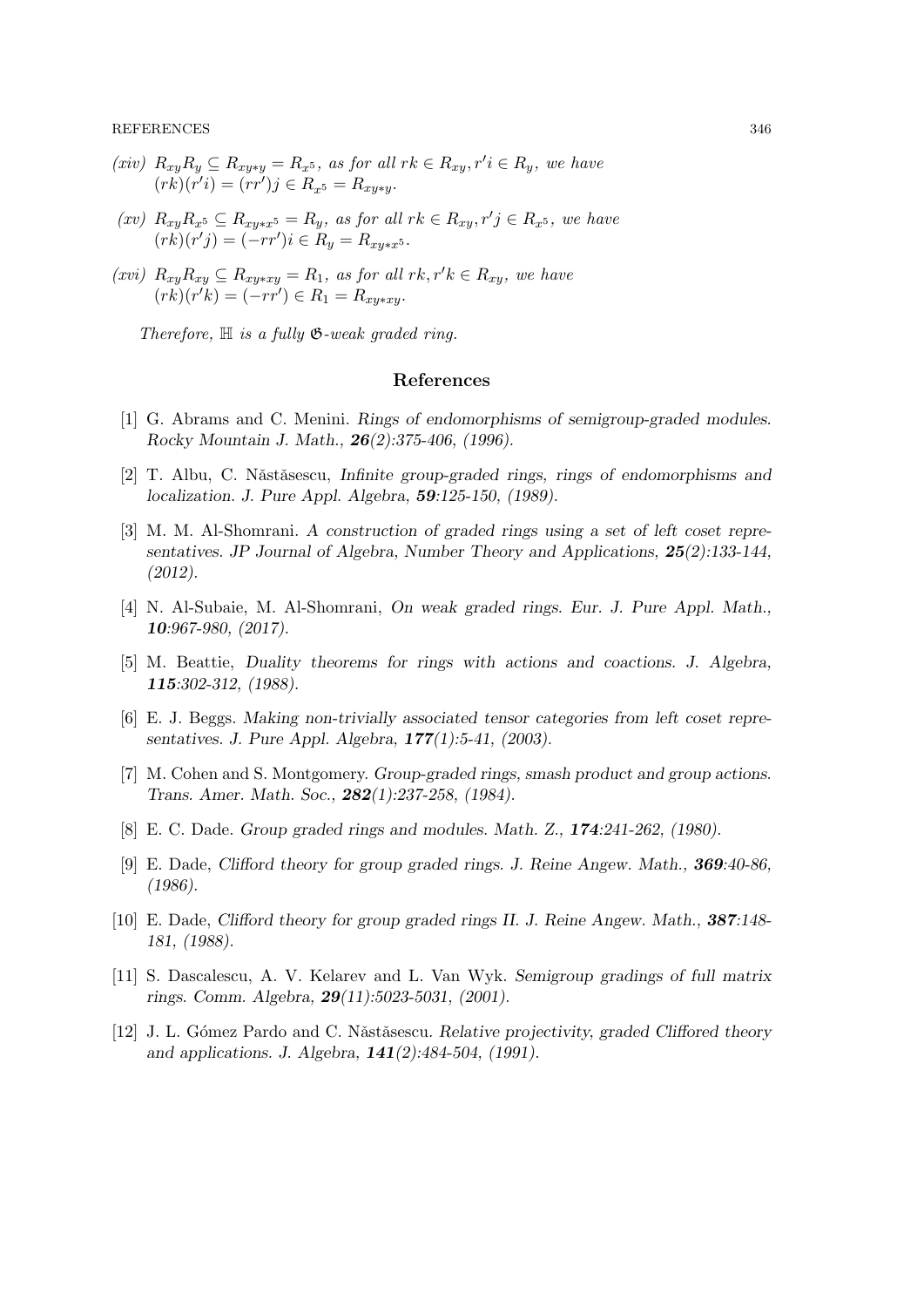REFERENCES 346

- $(xiv)$   $R_{xy}R_y \subseteq R_{xy*y} = R_x$ , as for all  $rk \in R_{xy}$ ,  $r'i \in R_y$ , we have  $(rk)(r'i) = (rr')j \in R_{x^5} = R_{xy*y}.$
- $(xv)$   $R_{xy}R_{x^5} \subseteq R_{xy*x^5} = R_y$ , as for all  $rk \in R_{xy}, r'j \in R_{x^5}$ , we have  $(rk)(r'j) = (-rr')i \in R_y = R_{xy*x^5}.$
- (xvi)  $R_{xy}R_{xy} \subseteq R_{xy*xy} = R_1$ , as for all  $rk, r'k \in R_{xy}$ , we have  $(rk)(r'k) = (-rr') \in R_1 = R_{xy*xy}.$

Therefore,  $\mathbb H$  is a fully  $\mathfrak G$ -weak graded ring.

#### References

- [1] G. Abrams and C. Menini. Rings of endomorphisms of semigroup-graded modules. Rocky Mountain J. Math., 26(2):375-406, (1996).
- [2] T. Albu, C. Năstăsescu, Infinite group-graded rings, rings of endomorphisms and localization. J. Pure Appl. Algebra, 59:125-150, (1989).
- [3] M. M. Al-Shomrani. A construction of graded rings using a set of left coset representatives. JP Journal of Algebra, Number Theory and Applications, 25(2):133-144, (2012).
- [4] N. Al-Subaie, M. Al-Shomrani, On weak graded rings. Eur. J. Pure Appl. Math., 10:967-980, (2017).
- [5] M. Beattie, Duality theorems for rings with actions and coactions. J. Algebra, 115:302-312, (1988).
- [6] E. J. Beggs. Making non-trivially associated tensor categories from left coset representatives. J. Pure Appl. Algebra, 177(1):5-41, (2003).
- [7] M. Cohen and S. Montgomery. Group-graded rings, smash product and group actions. Trans. Amer. Math. Soc., 282(1):237-258, (1984).
- [8] E. C. Dade. Group graded rings and modules. Math. Z., 174:241-262, (1980).
- [9] E. Dade, Clifford theory for group graded rings. J. Reine Angew. Math., 369:40-86, (1986).
- [10] E. Dade, Clifford theory for group graded rings II. J. Reine Angew. Math., 387:148- 181, (1988).
- [11] S. Dascalescu, A. V. Kelarev and L. Van Wyk. Semigroup gradings of full matrix rings. Comm. Algebra, 29(11):5023-5031, (2001).
- [12] J. L. Gómez Pardo and C. Nǎstǎsescu. Relative projectivity, graded Cliffored theory and applications. J. Algebra, 141(2):484-504, (1991).